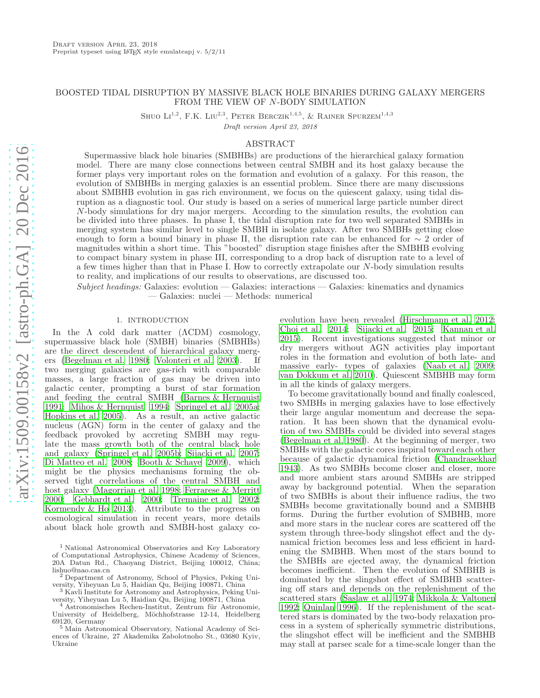# BOOSTED TIDAL DISRUPTION BY MASSIVE BLACK HOLE BINARIES DURING GALAXY MERGERS FROM THE VIEW OF N-BODY SIMULATION

SHUO  $LI^{1,2}$ , F.K. LIU<sup>2,3</sup>, PETER BERCZIK<sup>1,4,5</sup>, & RAINER SPURZEM<sup>1,4,3</sup>

Draft version April 23, 2018

## ABSTRACT

Supermassive black hole binaries (SMBHBs) are productions of the hierarchical galaxy formation model. There are many close connections between central SMBH and its host galaxy because the former plays very important roles on the formation and evolution of a galaxy. For this reason, the evolution of SMBHBs in merging galaxies is an essential problem. Since there are many discussions about SMBHB evolution in gas rich environment, we focus on the quiescent galaxy, using tidal disruption as a diagnostic tool. Our study is based on a series of numerical large particle number direct N-body simulations for dry major mergers. According to the simulation results, the evolution can be divided into three phases. In phase I, the tidal disruption rate for two well separated SMBHs in merging system has similar level to single SMBH in isolate galaxy. After two SMBHs getting close enough to form a bound binary in phase II, the disruption rate can be enhanced for  $\sim 2$  order of magnitudes within a short time. This "boosted" disruption stage finishes after the SMBHB evolving to compact binary system in phase III, corresponding to a drop back of disruption rate to a level of a few times higher than that in Phase I. How to correctly extrapolate our N-body simulation results to reality, and implications of our results to observations, are discussed too.

 $Subject, headings: Galaxies: evolution — Galaxies: interactions — Galaxies: kinematics and dynamics$ — Galaxies: nuclei — Methods: numerical

### 1. INTRODUCTION

In the  $\Lambda$  cold dark matter  $(LambdaCDM)$  cosmology, supermassive black hole (SMBH) binaries (SMBHBs) are the direct descendent of hierarchical galaxy mergers [\(Begelman et al. 1980;](#page-14-0) [Volonteri et al. 2003](#page-15-0)). If two merging galaxies are gas-rich with comparable masses, a large fraction of gas may be driven into galactic center, prompting a burst of star formation and feeding the central SMBH [\(Barnes & Hernquist](#page-14-1) [1991;](#page-14-1) [Mihos & Hernquist 1994;](#page-15-1) [Springel et al. 2005a;](#page-15-2) [Hopkins et al. 2005](#page-14-2)). As a result, an active galactic nucleus (AGN) form in the center of galaxy and the feedback provoked by accreting SMBH may regulate the mass growth both of the central black hole and galaxy [\(Springel et al. 2005b;](#page-15-3) [Sijacki et al. 2007;](#page-15-4) [Di Matteo et al. 2008](#page-14-3); [Booth & Schaye 2009\)](#page-14-4), which might be the physics mechanisms forming the observed tight correlations of the central SMBH and host galaxy [\(Magorrian et al. 1998;](#page-15-5) [Ferrarese & Merritt](#page-14-5) [2000;](#page-14-5) [Gebhardt et al. 2000;](#page-14-6) [Tremaine et al. 2002;](#page-15-6) [Kormendy & Ho 2013\)](#page-15-7). Attribute to the progress on cosmological simulation in recent years, more details about black hole growth and SMBH-host galaxy coevolution have been revealed [\(Hirschmann et al. 2012](#page-14-7); [Choi et al. 2014](#page-14-8); [Sijacki et al. 2015;](#page-15-8) [Kannan et al.](#page-14-9) [2015\)](#page-14-9). Recent investigations suggested that minor or dry mergers without AGN activities play important roles in the formation and evolution of both late- and massive early- types of galaxies [\(Naab et al. 2009](#page-15-9); [van Dokkum et al. 2010](#page-15-10)). Quiescent SMBHB may form in all the kinds of galaxy mergers.

To become gravitationally bound and finally coalesced, two SMBHs in merging galaxies have to lose effectively their large angular momentum and decrease the separation. It has been shown that the dynamical evolution of two SMBHs could be divided into several stages [\(Begelman et al. 1980\)](#page-14-0). At the beginning of merger, two SMBHs with the galactic cores inspiral toward each other because of galactic dynamical friction [\(Chandrasekhar](#page-14-10) [1943\)](#page-14-10). As two SMBHs become closer and closer, more and more ambient stars around SMBHs are stripped away by background potential. When the separation of two SMBHs is about their influence radius, the two SMBHs become gravitationally bound and a SMBHB forms. During the further evolution of SMBHB, more and more stars in the nuclear cores are scattered off the system through three-body slingshot effect and the dynamical friction becomes less and less efficient in hardening the SMBHB. When most of the stars bound to the SMBHs are ejected away, the dynamical friction becomes inefficient. Then the evolution of SMBHB is dominated by the slingshot effect of SMBHB scattering off stars and depends on the replenishment of the scattered stars [\(Saslaw et al. 1974;](#page-15-11) [Mikkola & Valtonen](#page-15-12) [1992;](#page-15-12) [Quinlan 1996\)](#page-15-13). If the replenishment of the scattered stars is dominated by the two-body relaxation process in a system of spherically symmetric distributions, the slingshot effect will be inefficient and the SMBHB may stall at parsec scale for a time-scale longer than the

<sup>1</sup> National Astronomical Observatories and Key Laboratory of Computational Astrophysics, Chinese Academy of Sciences, 20A Datun Rd., Chaoyang District, Beijing 100012, China; lishuo@nao.cas.cn

<sup>2</sup> Department of Astronomy, School of Physics, Peking University, Yiheyuan Lu 5, Haidian Qu, Beijing 100871, China

<sup>&</sup>lt;sup>3</sup> Kavli Institute for Astronomy and Astrophysics, Peking University, Yiheyuan Lu 5, Haidian Qu, Beijing 100871, China

 $4$  Astronomisches Rechen-Institut, Zentrum für Astronomie, University of Heidelberg, Möchhofstrasse 12-14, Heidelberg 69120, Germany

<sup>5</sup> Main Astronomical Observatory, National Academy of Sciences of Ukraine, 27 Akademika Zabolotnoho St., 03680 Kyiv, Ukraine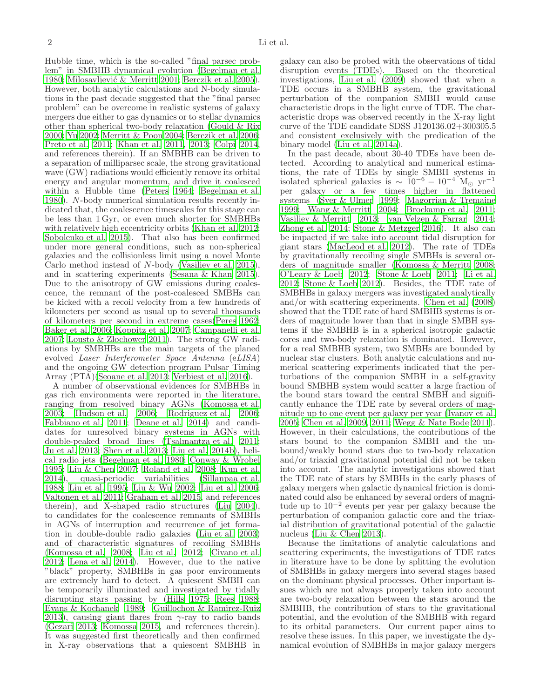Hubble time, which is the so-called "final parsec problem" in SMBHB dynamical evolution [\(Begelman et al.](#page-14-0) [1980;](#page-14-0) Milosavljević & Merritt 2001; [Berczik et al. 2005\)](#page-14-11). However, both analytic calculations and N-body simulations in the past decade suggested that the "final parsec problem" can be overcome in realistic systems of galaxy mergers due either to gas dynamics or to stellar dynamics other than spherical two-body relaxation [\(Gould & Rix](#page-14-12) [2000;](#page-14-12) [Yu 2002;](#page-15-15) [Merritt & Poon 2004;](#page-15-16) [Berczik et al. 2006;](#page-14-13) [Preto et al. 2011;](#page-15-17) [Khan et al. 2011,](#page-14-14) [2013;](#page-14-15) [Colpi 2014,](#page-14-16) and references therein). If an SMBHB can be driven to a separation of milliparsec scale, the strong gravitational wave (GW) radiations would efficiently remove its orbital energy and angular momentum, and drive it coalesced within a Hubble time [\(Peters 1964;](#page-15-18) [Begelman et al.](#page-14-0) [1980\)](#page-14-0). N-body numerical simulation results recently indicated that, the coalescence timescales for this stage can be less than 1 Gyr, or even much shorter for SMBHBs with relatively high eccentricity orbits [\(Khan et al. 2012;](#page-14-17) [Sobolenko et al. 2015\)](#page-15-19). That also has been confirmed under more general conditions, such as non-spherical galaxies and the collisionless limit using a novel Monte Carlo method instead of N-body [\(Vasiliev et al. 2015\)](#page-15-20), and in scattering experiments [\(Sesana & Khan 2015\)](#page-15-21). Due to the anisotropy of GW emissions during coalescence, the remnant of the post-coalesced SMBHs can be kicked with a recoil velocity from a few hundreds of kilometers per second as usual up to several thousands of kilometers per second in extreme cases[\(Peres 1962;](#page-15-22) [Baker et al. 2006;](#page-14-18) [Koppitz et al. 2007;](#page-15-23) [Campanelli et al.](#page-14-19) [2007;](#page-14-19) [Lousto & Zlochower 2011\)](#page-15-24). The strong GW radiations by SMBHBs are the main targets of the planed evolved Laser Interferometer Space Antenna (eLISA) and the ongoing GW detection program Pulsar Timing Array (PTA)[\(Seoane et al. 2013](#page-15-25); [Verbiest et al. 2016\)](#page-15-26).

A number of observational evidences for SMBHBs in gas rich environments were reported in the literature, ranging from resolved binary AGNs [\(Komossa et al.](#page-15-27) [2003;](#page-15-27) [Hudson et al. 2006;](#page-14-20) [Rodriguez et al. 2006;](#page-15-28) [Fabbiano et al. 2011;](#page-14-21) [Deane et al. 2014\)](#page-14-22) and candidates for unresolved binary systems in AGNs with double-peaked broad lines [\(Tsalmantza et al. 2011;](#page-15-29) [Ju et al. 2013;](#page-14-23) [Shen et al. 2013;](#page-15-30) [Liu et al. 2014b](#page-15-31)), helical radio jets [\(Begelman et al. 1980;](#page-14-0) [Conway & Wrobel](#page-14-24) [1995;](#page-14-24) [Liu & Chen 2007;](#page-15-32) [Roland et al. 2008](#page-15-33); [Kun et al.](#page-15-34) [2014\)](#page-15-34), quasi-periodic variabilities [\(Sillanpaa et al.](#page-15-35) [1988;](#page-15-35) [Liu et al. 1995;](#page-15-36) [Liu & Wu 2002;](#page-15-37) [Liu et al. 2006;](#page-15-38) [Valtonen et al. 2011;](#page-15-39) [Graham et al. 2015,](#page-14-25) and references therein), and X-shaped radio structures [\(Liu 2004\)](#page-15-40), to candidates for the coalescence remnants of SMBHs in AGNs of interruption and recurrence of jet formation in double-double radio galaxies [\(Liu et al. 2003](#page-15-41)) and of characteristic signatures of recoiling SMBHs [\(Komossa et al. 2008;](#page-15-42) [Liu et al. 2012;](#page-15-43) [Civano et al.](#page-14-26) [2012;](#page-14-26) [Lena et al. 2014\)](#page-15-44). However, due to the native "black" property, SMBHBs in gas poor environments are extremely hard to detect. A quiescent SMBH can be temporarily illuminated and investigated by tidally disrupting stars passing by [\(Hills 1975;](#page-14-27) [Rees 1988;](#page-15-45) [Evans & Kochanek 1989;](#page-14-28) [Guillochon & Ramirez-Ruiz](#page-14-29) [2013\)](#page-14-29), causing giant flares from  $\gamma$ -ray to radio bands [\(Gezari 2013](#page-14-30); [Komossa 2015,](#page-14-31) and references therein). It was suggested first theoretically and then confirmed in X-ray observations that a quiescent SMBHB in galaxy can also be probed with the observations of tidal disruption events (TDEs). Based on the theoretical investigations, [Liu et al. \(2009](#page-15-46)) showed that when a TDE occurs in a SMBHB system, the gravitational perturbation of the companion SMBH would cause characteristic drops in the light curve of TDE. The characteristic drops was observed recently in the X-ray light curve of the TDE candidate SDSS J120136.02+300305.5 and consistent exclusively with the predication of the binary model [\(Liu et al. 2014a\)](#page-15-47).

In the past decade, about 30-40 TDEs have been detected. According to analytical and numerical estimations, the rate of TDEs by single SMBH systems in isolated spherical galaxies is  $\sim 10^{-6} - 10^{-4}$  M<sub>☉</sub> yr<sup>-1</sup> per galaxy or a few times higher in flattened systems [\(Syer & Ulmer 1999;](#page-15-48) [Magorrian & Tremaine](#page-15-49) [1999;](#page-15-49) [Wang & Merritt 2004;](#page-15-50) [Brockamp et al. 2011](#page-14-32); [Vasiliev & Merritt 2013;](#page-15-51) [van Velzen & Farrar 2014](#page-15-52); [Zhong et al. 2014;](#page-15-53) [Stone & Metzger 2016\)](#page-15-54). It also can be impacted if we take into account tidal disruption for giant stars [\(MacLeod et al. 2012\)](#page-15-55). The rate of TDEs by gravitationally recoiling single SMBHs is several orders of magnitude smaller [\(Komossa & Merritt 2008](#page-15-56); [O'Leary & Loeb 2012;](#page-15-57) [Stone & Loeb 2011;](#page-15-58) [Li et al.](#page-15-59) [2012;](#page-15-59) [Stone & Loeb 2012\)](#page-15-60). Besides, the TDE rate of SMBHBs in galaxy mergers was investigated analytically and/or with scattering experiments. [Chen et al. \(2008](#page-14-33)) showed that the TDE rate of hard SMBHB systems is orders of magnitude lower than that in single SMBH systems if the SMBHB is in a spherical isotropic galactic cores and two-body relaxation is dominated. However, for a real SMBHB system, two SMBHs are bounded by nuclear star clusters. Both analytic calculations and numerical scattering experiments indicated that the perturbations of the companion SMBH in a self-gravity bound SMBHB system would scatter a large fraction of the bound stars toward the central SMBH and significantly enhance the TDE rate by several orders of magnitude up to one event per galaxy per year [\(Ivanov et al.](#page-14-34) [2005;](#page-14-34) [Chen et al. 2009](#page-14-35), [2011](#page-14-36); [Wegg & Nate Bode 2011](#page-15-61)). However, in their calculations, the contributions of the stars bound to the companion SMBH and the unbound/weakly bound stars due to two-body relaxation and/or triaxial gravitational potential did not be taken into account. The analytic investigations showed that the TDE rate of stars by SMBHs in the early phases of galaxy mergers when galactic dynamical friction is dominated could also be enhanced by several orders of magnitude up to 10<sup>−</sup><sup>2</sup> events per year per galaxy because the perturbation of companion galactic core and the triaxial distribution of gravitational potential of the galactic nucleus [\(Liu & Chen 2013\)](#page-15-62).

Because the limitations of analytic calculations and scattering experiments, the investigations of TDE rates in literature have to be done by splitting the evolution of SMBHBs in galaxy mergers into several stages based on the dominant physical processes. Other important issues which are not always properly taken into account are two-body relaxation between the stars around the SMBHB, the contribution of stars to the gravitational potential, and the evolution of the SMBHB with regard to its orbital parameters. Our current paper aims to resolve these issues. In this paper, we investigate the dynamical evolution of SMBHBs in major galaxy mergers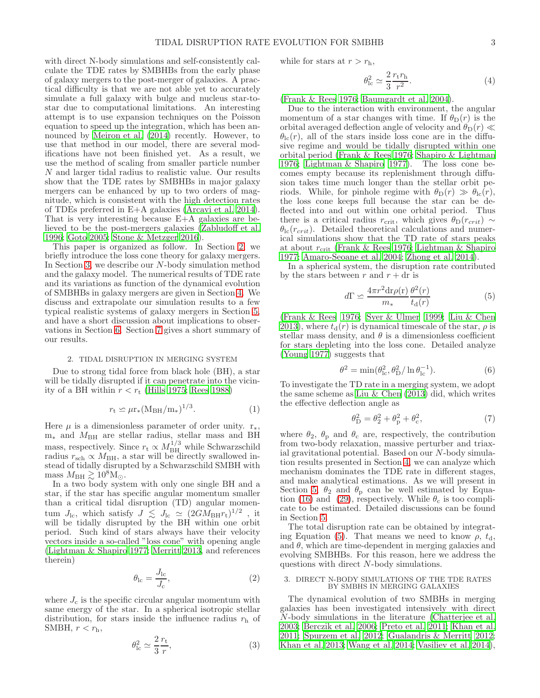with direct N-body simulations and self-consistently calculate the TDE rates by SMBHBs from the early phase of galaxy mergers to the post-merger of galaxies. A practical difficulty is that we are not able yet to accurately simulate a full galaxy with bulge and nucleus star-tostar due to computational limitations. An interesting attempt is to use expansion techniques on the Poisson equation to speed up the integration, which has been announced by [Meiron et al. \(2014](#page-15-63)) recently. However, to use that method in our model, there are several modifications have not been finished yet. As a result, we use the method of scaling from smaller particle number N and larger tidal radius to realistic value. Our results show that the TDE rates by SMBHBs in major galaxy mergers can be enhanced by up to two orders of magnitude, which is consistent with the high detection rates of TDEs preferred in E+A galaxies [\(Arcavi et al. 2014\)](#page-14-37). That is very interesting because E+A galaxies are believed to be the post-mergers galaxies [\(Zabludoff et al.](#page-15-64) [1996;](#page-15-64) [Goto 2005;](#page-14-38) [Stone & Metzger 2016\)](#page-15-54).

This paper is organized as follow. In Section [2,](#page-2-0) we briefly introduce the loss cone theory for galaxy mergers. In Section [3,](#page-2-1) we describe our N-body simulation method and the galaxy model. The numerical results of TDE rate and its variations as function of the dynamical evolution of SMBHBs in galaxy mergers are given in Section [4.](#page-4-0) We discuss and extrapolate our simulation results to a few typical realistic systems of galaxy mergers in Section [5,](#page-8-0) and have a short discussion about implications to observations in Section [6.](#page-13-0) Section [7](#page-13-1) gives a short summary of our results.

## 2. TIDAL DISRUPTION IN MERGING SYSTEM

<span id="page-2-0"></span>Due to strong tidal force from black hole (BH), a star will be tidally disrupted if it can penetrate into the vicinity of a BH within  $r < r_t$  [\(Hills 1975;](#page-14-27) [Rees 1988\)](#page-15-45)

$$
r_{\rm t} \simeq \mu r_{\ast} (\rm M_{BH}/m_{\ast})^{1/3}.
$$
 (1)

Here  $\mu$  is a dimensionless parameter of order unity.  $r_*,$ m<sup>∗</sup> and MBH are stellar radius, stellar mass and BH mass, respectively. Since  $r_t \propto M_{\rm BH}^{1/3}$  while Schwarzschild radius  $r_{\rm sch} \propto M_{\rm BH}$ , a star will be directly swallowed instead of tidally disrupted by a Schwarzschild SMBH with mass  $M_{\rm BH} \gtrsim 10^8 \rm M_{\odot}$ .

In a two body system with only one single BH and a star, if the star has specific angular momentum smaller than a critical tidal disruption (TD) angular momentum  $J_{\rm lc}$ , which satisfy  $J \leq J_{\rm lc} \simeq (2GM_{\rm BH}r_{\rm t})^{1/2}$ , it will be tidally disrupted by the BH within one orbit period. Such kind of stars always have their velocity vectors inside a so-called "loss cone" with opening angle [\(Lightman & Shapiro 1977](#page-15-65); [Merritt 2013,](#page-15-66) and references therein)

$$
\theta_{\rm lc} = \frac{J_{\rm lc}}{J_{\rm c}},\tag{2}
$$

where  $J_c$  is the specific circular angular momentum with same energy of the star. In a spherical isotropic stellar distribution, for stars inside the influence radius  $r<sub>h</sub>$  of SMBH,  $r < r_h$ ,

<span id="page-2-4"></span>
$$
\theta_{\rm lc}^2 \simeq \frac{2 r_{\rm t}}{3 r},\tag{3}
$$

while for stars at  $r > r<sub>h</sub>$ ,

$$
\theta_{\rm lc}^2 \simeq \frac{2}{3} \frac{r_{\rm t} r_{\rm h}}{r^2}.\tag{4}
$$

[\(Frank & Rees 1976;](#page-14-39) [Baumgardt et al. 2004\)](#page-14-40).

Due to the interaction with environment, the angular momentum of a star changes with time. If  $\theta_{\text{D}}(r)$  is the orbital averaged deflection angle of velocity and  $\theta_{\rm D}(r) \ll$  $\theta_{\rm lc}(r)$ , all of the stars inside loss cone are in the diffusive regime and would be tidally disrupted within one orbital period [\(Frank & Rees 1976;](#page-14-39) [Shapiro & Lightman](#page-15-67) [1976;](#page-15-67) [Lightman & Shapiro 1977](#page-15-65)). The loss cone becomes empty because its replenishment through diffusion takes time much longer than the stellar orbit periods. While, for pinhole regime with  $\theta_{\rm D}(r) \gg \theta_{\rm lc}(r)$ , the loss cone keeps full because the star can be deflected into and out within one orbital period. Thus there is a critical radius  $r_{\text{crit}}$ , which gives  $\theta_{\text{D}}(r_{\text{crit}}) \sim$  $\theta_{\rm lc}(r_{crit})$ . Detailed theoretical calculations and numerical simulations show that the TD rate of stars peaks at about  $r_{\text{crit}}$  [\(Frank & Rees 1976](#page-14-39); [Lightman & Shapiro](#page-15-65) [1977;](#page-15-65) [Amaro-Seoane et al. 2004](#page-14-41); [Zhong et al. 2014](#page-15-53)).

In a spherical system, the disruption rate contributed by the stars between r and  $r + dr$  is

<span id="page-2-2"></span>
$$
d\Gamma \simeq \frac{4\pi r^2 dr \rho(\mathbf{r})}{m_*} \frac{\theta^2(r)}{t_{\rm d}(r)}\tag{5}
$$

[\(Frank & Rees 1976](#page-14-39); [Syer & Ulmer 1999;](#page-15-48) [Liu & Chen](#page-15-62) [2013\)](#page-15-62), where  $t<sub>d</sub>(r)$  is dynamical timescale of the star,  $\rho$  is stellar mass density, and  $\theta$  is a dimensionless coefficient for stars depleting into the loss cone. Detailed analyze [\(Young 1977\)](#page-15-68) suggests that

$$
\theta^2 = \min(\theta_{\rm lc}^2, \theta_{\rm D}^2 / \ln \theta_{\rm lc}^{-1}).\tag{6}
$$

To investigate the TD rate in a merging system, we adopt the same scheme as Liu & Chen  $(2013)$  did, which writes the effective deflection angle as

<span id="page-2-3"></span>
$$
\theta_{\rm D}^2 = \theta_2^2 + \theta_{\rm p}^2 + \theta_{\rm c}^2,\tag{7}
$$

where  $\theta_2$ ,  $\theta_p$  and  $\theta_c$  are, respectively, the contribution from two-body relaxation, massive perturber and triaxial gravitational potential. Based on our N-body simulation results presented in Section [4,](#page-4-0) we can analyze which mechanism dominates the TDE rate in different stages, and make analytical estimations. As we will present in Section [5,](#page-8-0)  $\theta_2$  and  $\theta_p$  can be well estimated by Equa-tion [\(16\)](#page-8-1) and [\(29\)](#page-11-0), respectively. While  $\theta_c$  is too complicate to be estimated. Detailed discussions can be found in Section [5.](#page-8-0)

The total disruption rate can be obtained by integrat-ing Equation [\(5\)](#page-2-2). That means we need to know  $\rho$ ,  $t_{d}$ , and  $\theta$ , which are time-dependent in merging galaxies and evolving SMBHBs. For this reason, here we address the questions with direct N-body simulations.

#### <span id="page-2-1"></span>3. DIRECT N-BODY SIMULATIONS OF THE TDE RATES BY SMBHS IN MERGING GALAXIES

The dynamical evolution of two SMBHs in merging galaxies has been investigated intensively with direct N-body simulations in the literature [\(Chatterjee et al.](#page-14-42) [2003;](#page-14-42) [Berczik et al. 2006;](#page-14-13) [Preto et al. 2011;](#page-15-17) [Khan et al.](#page-14-14) [2011;](#page-14-14) [Spurzem et al. 2012;](#page-15-69) [Gualandris & Merritt 2012](#page-14-43); [Khan et al. 2013;](#page-14-15) [Wang et al. 2014](#page-15-70); [Vasiliev et al. 2014](#page-15-71)),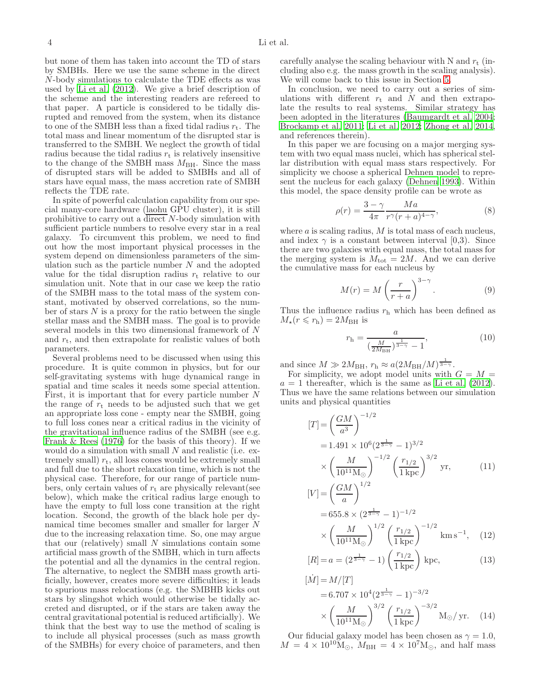but none of them has taken into account the TD of stars by SMBHs. Here we use the same scheme in the direct N-body simulations to calculate the TDE effects as was used by [Li et al. \(2012\)](#page-15-59). We give a brief description of the scheme and the interesting readers are refereed to that paper. A particle is considered to be tidally disrupted and removed from the system, when its distance to one of the SMBH less than a fixed tidal radius  $r_t$ . The total mass and linear momentum of the disrupted star is transferred to the SMBH. We neglect the growth of tidal radius because the tidal radius  $r_t$  is relatively insensitive to the change of the SMBH mass  $M_{\text{BH}}$ . Since the mass of disrupted stars will be added to SMBHs and all of stars have equal mass, the mass accretion rate of SMBH reflects the TDE rate.

In spite of powerful calculation capability from our special many-core hardware (laohu GPU cluster), it is still prohibitive to carry out a  $\overline{\text{direct}}$  N-body simulation with sufficient particle numbers to resolve every star in a real galaxy. To circumvent this problem, we need to find out how the most important physical processes in the system depend on dimensionless parameters of the simulation such as the particle number  $N$  and the adopted value for the tidal disruption radius  $r_t$  relative to our simulation unit. Note that in our case we keep the ratio of the SMBH mass to the total mass of the system constant, motivated by observed correlations, so the number of stars  $N$  is a proxy for the ratio between the single stellar mass and the SMBH mass. The goal is to provide several models in this two dimensional framework of N and  $r_t$ , and then extrapolate for realistic values of both parameters.

Several problems need to be discussed when using this procedure. It is quite common in physics, but for our self-gravitating systems with huge dynamical range in spatial and time scales it needs some special attention. First, it is important that for every particle number N the range of  $r_t$  needs to be adjusted such that we get an appropriate loss cone - empty near the SMBH, going to full loss cones near a critical radius in the vicinity of the gravitational influence radius of the SMBH (see e.g. [Frank & Rees \(1976\)](#page-14-39) for the basis of this theory). If we would do a simulation with small  $N$  and realistic (i.e. extremely small)  $r_t$ , all loss cones would be extremely small and full due to the short relaxation time, which is not the physical case. Therefore, for our range of particle numbers, only certain values of  $r_t$  are physically relevant (see below), which make the critical radius large enough to have the empty to full loss cone transition at the right location. Second, the growth of the black hole per dynamical time becomes smaller and smaller for larger N due to the increasing relaxation time. So, one may argue that our (relatively) small  $N$  simulations contain some artificial mass growth of the SMBH, which in turn affects the potential and all the dynamics in the central region. The alternative, to neglect the SMBH mass growth artificially, however, creates more severe difficulties; it leads to spurious mass relocations (e.g. the SMBHB kicks out stars by slingshot which would otherwise be tidally accreted and disrupted, or if the stars are taken away the central gravitational potential is reduced artificially). We think that the best way to use the method of scaling is to include all physical processes (such as mass growth of the SMBHs) for every choice of parameters, and then carefully analyse the scaling behaviour with N and  $r_t$  (including also e.g. the mass growth in the scaling analysis). We will come back to this issue in Section [5.](#page-8-0)

In conclusion, we need to carry out a series of simulations with different  $r_t$  and N and then extrapolate the results to real systems. Similar strategy has been adopted in the literatures [\(Baumgardt et al. 2004](#page-14-40); [Brockamp et al. 2011;](#page-14-32) [Li et al. 2012;](#page-15-59) [Zhong et al. 2014](#page-15-53), and references therein).

In this paper we are focusing on a major merging system with two equal mass nuclei, which has spherical stellar distribution with equal mass stars respectively. For simplicity we choose a spherical Dehnen model to represent the nucleus for each galaxy [\(Dehnen 1993](#page-14-44)). Within this model, the space density profile can be wrote as

$$
\rho(r) = \frac{3-\gamma}{4\pi} \frac{Ma}{r^{\gamma}(r+a)^{4-\gamma}},\tag{8}
$$

where  $a$  is scaling radius,  $M$  is total mass of each nucleus, and index  $\gamma$  is a constant between interval [0,3]. Since there are two galaxies with equal mass, the total mass for the merging system is  $M_{\text{tot}} = 2M$ . And we can derive the cumulative mass for each nucleus by

$$
M(r) = M\left(\frac{r}{r+a}\right)^{3-\gamma}.\tag{9}
$$

Thus the influence radius  $r<sub>h</sub>$  which has been defined as  $M_{\star}(r \leqslant r_{\rm h}) = 2M_{\rm BH}$  is

$$
r_{\rm h} = \frac{a}{\left(\frac{M}{2M_{\rm BH}}\right)^{\frac{1}{3-\gamma}} - 1},\tag{10}
$$

and since  $M \gg 2M_{\rm BH}$ ,  $r_{\rm h} \approx a(2M_{\rm BH}/M)^{\frac{1}{3-\gamma}}$ .

For simplicity, we adopt model units with  $G = M =$  $a = 1$  thereafter, which is the same as [Li et al. \(2012](#page-15-59)). Thus we have the same relations between our simulation units and physical quantities

<span id="page-3-0"></span>
$$
[T] = \left(\frac{GM}{a^3}\right)^{-1/2}
$$
  
= 1.491 × 10<sup>6</sup> (2<sup>\frac{1}{3-\gamma}</sup> - 1)<sup>3/2</sup>  
×  $\left(\frac{M}{10^{11}M_{\odot}}\right)^{-1/2} \left(\frac{r_{1/2}}{1\,\text{kpc}}\right)^{3/2}$  yr, (11)

$$
[V] = \left(\frac{GM}{a}\right)^{1/2}
$$
  
= 655.8 \times (2^{\frac{1}{3-\gamma}} - 1)^{-1/2}  
\times \left(\frac{M}{10^{11} \text{M}\_{\odot}}\right)^{1/2} \left(\frac{r\_{1/2}}{1 \text{ kpc}}\right)^{-1/2} \text{km s}^{-1}, (12)

$$
[R] = a = (2^{\frac{1}{3-\gamma}} - 1) \left(\frac{r_{1/2}}{1 \,\text{kpc}}\right) \,\text{kpc},\tag{13}
$$

$$
[\dot{M}] = M/[T]
$$
  
= 6.707 × 10<sup>4</sup> (2<sup>3-7</sup> - 1)<sup>-3/2</sup>  
×  $\left(\frac{M}{10^{11}M_{\odot}}\right)^{3/2} \left(\frac{r_{1/2}}{1 \text{ kpc}}\right)^{-3/2} M_{\odot}/ \text{ yr.}$  (14)

Our fiducial galaxy model has been chosen as  $\gamma = 1.0$ ,  $M = 4 \times 10^{10} \text{M}_{\odot}$ ,  $M_{\text{BH}} = 4 \times 10^{7} \text{M}_{\odot}$ , and half mass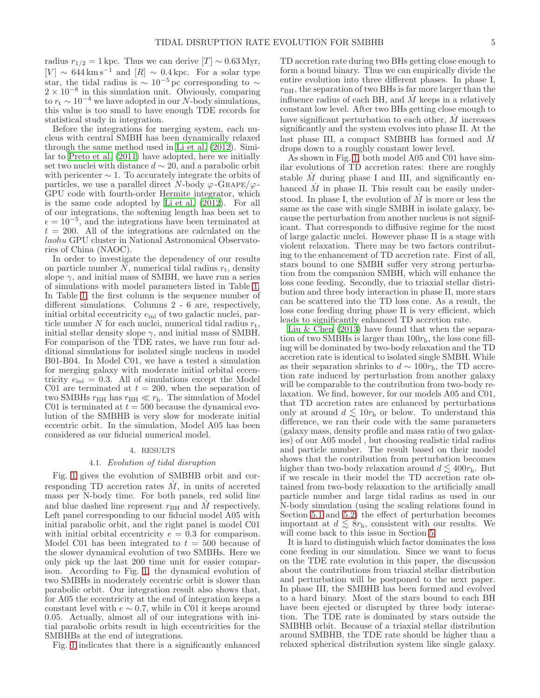radius  $r_{1/2} = 1$  kpc. Thus we can derive [T] ~ 0.63 Myr,  $[V] \sim 644 \,\mathrm{km \, s^{-1}}$  and  $[R] \sim 0.4 \,\mathrm{kpc}$ . For a solar type star, the tidal radius is  $\sim 10^{-5}$  pc corresponding to  $\sim$  $2 \times 10^{-8}$  in this simulation unit. Obviously, comparing to  $r_t \sim 10^{-4}$  we have adopted in our N-body simulations, this value is too small to have enough TDE records for statistical study in integration.

Before the integrations for merging system, each nucleus with central SMBH has been dynamically relaxed through the same method used in [Li et al. \(2012\)](#page-15-59). Similar to [Preto et al. \(2011\)](#page-15-17) have adopted, here we initially set two nuclei with distance  $d \sim 20$ , and a parabolic orbit with pericenter  $\sim$  1. To accurately integrate the orbits of particles, we use a parallel direct N-body  $\varphi$ -GRAPE/ $\varphi$ -GPU code with fourth-order Hermite integrator, which is the same code adopted by [Li et al. \(2012\)](#page-15-59). For all of our integrations, the softening length has been set to  $\epsilon = 10^{-5}$ , and the integrations have been terminated at  $t = 200$ . All of the integrations are calculated on the laohu GPU cluster in National Astronomical Observatories of China (NAOC).

In order to investigate the dependency of our results on particle number  $N$ , numerical tidal radius  $r_t$ , density slope  $\gamma$ , and initial mass of SMBH, we have run a series of simulations with model parameters listed in Table [1.](#page-5-0) In Table [1,](#page-5-0) the first column is the sequence number of different simulations. Columns 2 - 6 are, respectively, initial orbital eccentricity  $e_{\text{ini}}$  of two galactic nuclei, particle number N for each nuclei, numerical tidal radius  $r_t$ , initial stellar density slope  $\gamma$ , and initial mass of SMBH. For comparison of the TDE rates, we have run four additional simulations for isolated single nucleus in model B01-B04. In Model C01, we have a tested a simulation for merging galaxy with moderate initial orbital eccentricity  $e_{\text{ini}} = 0.3$ . All of simulations except the Model C01 are terminated at  $t = 200$ , when the separation of two SMBHs  $r_{BH}$  has  $r_{BH} \ll r_h$ . The simulation of Model C01 is terminated at  $t = 500$  because the dynamical evolution of the SMBHB is very slow for moderate initial eccentric orbit. In the simulation, Model A05 has been considered as our fiducial numerical model.

# 4. RESULTS

#### 4.1. Evolution of tidal disruption

<span id="page-4-1"></span><span id="page-4-0"></span>Fig. [1](#page-5-1) gives the evolution of SMBHB orbit and corresponding TD accretion rates  $\dot{M}$ , in units of accreted mass per N-body time. For both panels, red solid line and blue dashed line represent  $r_{BH}$  and M respectively. Left panel corresponding to our fiducial model A05 with initial parabolic orbit, and the right panel is model C01 with initial orbital eccentricity  $e = 0.3$  for comparison. Model C01 has been integrated to  $t = 500$  because of the slower dynamical evolution of two SMBHs. Here we only pick up the last 200 time unit for easier comparison. According to Fig. [1,](#page-5-1) the dynamical evolution of two SMBHs in moderately eccentric orbit is slower than parabolic orbit. Our integration result also shows that, for A05 the eccentricity at the end of integration keeps a constant level with  $e \sim 0.7$ , while in C01 it keeps around 0.05. Actually, almost all of our integrations with initial parabolic orbits result in high eccentricities for the SMBHBs at the end of integrations.

Fig. [1](#page-5-1) indicates that there is a significantly enhanced

TD accretion rate during two BHs getting close enough to form a bound binary. Thus we can empirically divide the entire evolution into three different phases. In phase I,  $r<sub>BH</sub>$ , the separation of two BHs is far more larger than the influence radius of each BH, and  $M$  keeps in a relatively constant low level. After two BHs getting close enough to have significant perturbation to each other,  $\dot{M}$  increases significantly and the system evolves into phase II. At the last phase III, a compact SMBHB has formed and  $\dot{M}$ drops down to a roughly constant lower level.

As shown in Fig. [1,](#page-5-1) both model A05 and C01 have similar evolutions of TD accretion rates: there are roughly stable  $M$  during phase I and III, and significantly enhanced  $\dot{M}$  in phase II. This result can be easily understood. In phase I, the evolution of  $\dot{M}$  is more or less the same as the case with single SMBH in isolate galaxy, because the perturbation from another nucleus is not significant. That corresponds to diffusive regime for the most of large galactic nuclei. However phase II is a stage with violent relaxation. There may be two factors contributing to the enhancement of TD accretion rate. First of all, stars bound to one SMBH suffer very strong perturbation from the companion SMBH, which will enhance the loss cone feeding. Secondly, due to triaxial stellar distribution and three body interaction in phase II, more stars can be scattered into the TD loss cone. As a result, the loss cone feeding during phase II is very efficient, which leads to significantly enhanced TD accretion rate.

Liu & Chen  $(2013)$  have found that when the separation of two SMBHs is larger than  $100r<sub>h</sub>$ , the loss cone filling will be dominated by two-body relaxation and the TD accretion rate is identical to isolated single SMBH. While as their separation shrinks to  $d \sim 100r_{\rm h}$ , the TD accretion rate induced by perturbation from another galaxy will be comparable to the contribution from two-body relaxation. We find, however, for our models A05 and C01, that TD accretion rates are enhanced by perturbations only at around  $d \leq 10r_h$  or below. To understand this difference, we ran their code with the same parameters (galaxy mass, density profile and mass ratio of two galaxies) of our A05 model , but choosing realistic tidal radius and particle number. The result based on their model shows that the contribution from perturbation becomes higher than two-body relaxation around  $d \lesssim 400r_{\rm h}$ . But if we rescale in their model the TD accretion rate obtained from two-body relaxation to the artificially small particle number and large tidal radius as used in our N-body simulation (using the scaling relations found in Section [5.1](#page-8-2) and [5.2\)](#page-11-1) the effect of perturbation becomes important at  $d \leq 8r_h$ , consistent with our results. We will come back to this issue in Section [5.](#page-8-0)

It is hard to distinguish which factor dominates the loss cone feeding in our simulation. Since we want to focus on the TDE rate evolution in this paper, the discussion about the contributions from triaxial stellar distribution and perturbation will be postponed to the next paper. In phase III, the SMBHB has been formed and evolved to a hard binary. Most of the stars bound to each BH have been ejected or disrupted by three body interaction. The TDE rate is dominated by stars outside the SMBHB orbit. Because of a triaxial stellar distribution around SMBHB, the TDE rate should be higher than a relaxed spherical distribution system like single galaxy.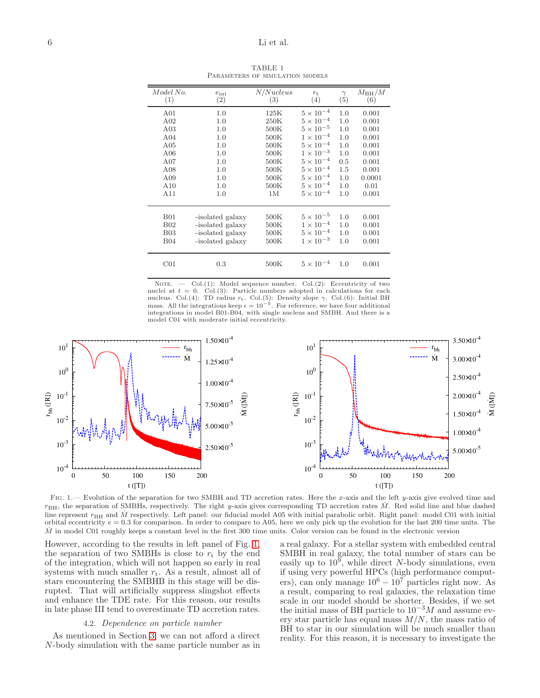<span id="page-5-0"></span>

| Model No.<br>(1) | $e_{\text{ini}}$<br>(2) | N/Nucleus<br>(3) | $r_{\rm t}$<br>(4) | $\gamma$<br>(5) | $M_{\rm BH}/M$<br>(6) |
|------------------|-------------------------|------------------|--------------------|-----------------|-----------------------|
| A01              | 1.0                     | 125K             | $5 \times 10^{-4}$ | 1.0             | 0.001                 |
| A02              | 1.0                     | 250K             | $5 \times 10^{-4}$ | 1.0             | 0.001                 |
| A <sub>03</sub>  | 1.0                     | 500K             | $5 \times 10^{-5}$ | 1.0             | 0.001                 |
| A04              | 1.0                     | 500K             | $1 \times 10^{-4}$ | 1.0             | 0.001                 |
| A05              | 1.0                     | 500K             | $5 \times 10^{-4}$ | 1.0             | 0.001                 |
| A06              | 1.0                     | 500K             | $1 \times 10^{-3}$ | 1.0             | 0.001                 |
| A07              | 1.0                     | 500K             | $5 \times 10^{-4}$ | 0.5             | 0.001                 |
| A <sub>08</sub>  | 1.0                     | 500K             | $5 \times 10^{-4}$ | 1.5             | 0.001                 |
| A09              | 1.0                     | 500K             | $5 \times 10^{-4}$ | 1.0             | 0.0001                |
| A10              | 1.0                     | 500K             | $5 \times 10^{-4}$ | 1.0             | 0.01                  |
| A11              | 1.0                     | 1M               | $5 \times 10^{-4}$ | 1.0             | 0.001                 |
|                  |                         |                  |                    |                 |                       |
| <b>B01</b>       | -isolated galaxy        | 500K             | $5 \times 10^{-5}$ | 1.0             | 0.001                 |
| <b>B02</b>       | -isolated galaxy        | 500K             | $1 \times 10^{-4}$ | 1.0             | 0.001                 |
| <b>B03</b>       | -isolated galaxy        | 500K             | $5 \times 10^{-4}$ | 1.0             | 0.001                 |
| <b>B04</b>       | -isolated galaxy        | 500K             | $1 \times 10^{-3}$ | 1.0             | 0.001                 |
| $\rm CO1$        | 0.3                     | 500K             | $5 \times 10^{-4}$ | 1.0             | 0.001                 |

TABLE 1 PARAMETERS OF SIMULATION MODELS

NOTE.  $\qquad$  Col.(1): Model sequence number. Col.(2): Eccentricity of two nuclei at  $t = 0$ . Col.(3): Particle numbers adopted in calculations for each nucleus. Col.(4): TD radius  $r_t$ . Col.(5): Density slope γ. Col.(6): Initial BH mass. All the integrations keep  $\epsilon = 10^{-5}$ . For reference, we have four additional integrations in model B01-B04, with single nucleus and SMBH. And there is a model C01 with moderate initial eccentricity.



<span id="page-5-1"></span>FIG. 1.— Evolution of the separation for two SMBH and TD accretion rates. Here the x-axis and the left y-axis give evolved time and  $r_{\text{BH}}$ , the separation of SMBHs, respectively. The right y-axis gives corresponding TD accretion rates M. Red solid line and blue dashed line represent  $r_{\rm BH}$  and M respectively. Left panel: our fiducial model A05 with initial parabolic orbit. Right panel: model C01 with initial orbital eccentricity  $e = 0.3$  for comparison. In order to compare to A05, here we only pick up the evolution for the last 200 time units. The  $\dot{M}$  in model C01 roughly keeps a constant level in the first 300 time units. Color version can be found in the electronic version

However, according to the results in left panel of Fig. [1,](#page-5-1) the separation of two SMBHs is close to  $r_t$  by the end of the integration, which will not happen so early in real systems with much smaller  $r_t$ . As a result, almost all of stars encountering the SMBHB in this stage will be disrupted. That will artificially suppress slingshot effects and enhance the TDE rate. For this reason, our results in late phase III tend to overestimate TD accretion rates.

#### 4.2. Dependence on particle number

<span id="page-5-2"></span>As mentioned in Section [3,](#page-2-1) we can not afford a direct N-body simulation with the same particle number as in a real galaxy. For a stellar system with embedded central SMBH in real galaxy, the total number of stars can be easily up to  $10^9$ , while direct N-body simulations, even if using very powerful HPCs (high performance computers), can only manage  $10^6 - 10^7$  particles right now. As a result, comparing to real galaxies, the relaxation time scale in our model should be shorter. Besides, if we set the initial mass of BH particle to  $10^{-3}M$  and assume every star particle has equal mass  $M/N$ , the mass ratio of BH to star in our simulation will be much smaller than reality. For this reason, it is necessary to investigate the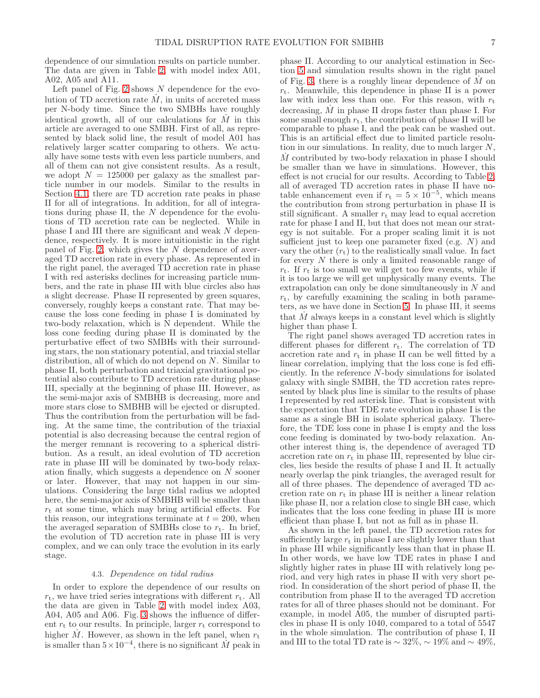dependence of our simulation results on particle number. The data are given in Table [2,](#page-7-0) with model index A01, A02, A05 and A11.

Left panel of Fig. [2](#page-7-1) shows  $N$  dependence for the evolution of TD accretion rate  $\dot{M}$ , in units of accreted mass per N-body time. Since the two SMBHs have roughly identical growth, all of our calculations for  $\dot{M}$  in this article are averaged to one SMBH. First of all, as represented by black solid line, the result of model A01 has relatively larger scatter comparing to others. We actually have some tests with even less particle numbers, and all of them can not give consistent results. As a result, we adopt  $N = 125000$  per galaxy as the smallest particle number in our models. Similar to the results in Section [4.1,](#page-4-1) there are TD accretion rate peaks in phase II for all of integrations. In addition, for all of integrations during phase II, the  $N$  dependence for the evolutions of TD accretion rate can be neglected. While in phase I and III there are significant and weak N dependence, respectively. It is more intuitionistic in the right panel of Fig. [2,](#page-7-1) which gives the N dependence of averaged TD accretion rate in every phase. As represented in the right panel, the averaged TD accretion rate in phase I with red asterisks declines for increasing particle numbers, and the rate in phase III with blue circles also has a slight decrease. Phase II represented by green squares, conversely, roughly keeps a constant rate. That may because the loss cone feeding in phase I is dominated by two-body relaxation, which is N dependent. While the loss cone feeding during phase II is dominated by the perturbative effect of two SMBHs with their surrounding stars, the non stationary potential, and triaxial stellar distribution, all of which do not depend on N. Similar to phase II, both perturbation and triaxial gravitational potential also contribute to TD accretion rate during phase III, specially at the beginning of phase III. However, as the semi-major axis of SMBHB is decreasing, more and more stars close to SMBHB will be ejected or disrupted. Thus the contribution from the perturbation will be fading. At the same time, the contribution of the triaxial potential is also decreasing because the central region of the merger remnant is recovering to a spherical distribution. As a result, an ideal evolution of TD accretion rate in phase III will be dominated by two-body relaxation finally, which suggests a dependence on N sooner or later. However, that may not happen in our simulations. Considering the large tidal radius we adopted here, the semi-major axis of SMBHB will be smaller than  $r<sub>t</sub>$  at some time, which may bring artificial effects. For this reason, our integrations terminate at  $t = 200$ , when the averaged separation of SMBHs close to  $r_t$ . In brief, the evolution of TD accretion rate in phase III is very complex, and we can only trace the evolution in its early stage.

## 4.3. Dependence on tidal radius

In order to explore the dependence of our results on  $r_t$ , we have tried series integrations with different  $r_t$ . All the data are given in Table [2](#page-7-0) with model index A03, A04, A05 and A06. Fig. [3](#page-8-3) shows the influence of different  $r_t$  to our results. In principle, larger  $r_t$  correspond to higher  $\dot{M}$ . However, as shown in the left panel, when  $r_{\text{t}}$ is smaller than  $5 \times 10^{-4}$ , there is no significant  $\dot{M}$  peak in

phase II. According to our analytical estimation in Section [5](#page-8-0) and simulation results shown in the right panel of Fig. [3,](#page-8-3) there is a roughly linear dependence of  $M$  on  $r_t$ . Meanwhile, this dependence in phase II is a power law with index less than one. For this reason, with  $r_t$ decreasing,  $\dot{M}$  in phase II drops faster than phase I. For some small enough  $r_t$ , the contribution of phase II will be comparable to phase I, and the peak can be washed out. This is an artificial effect due to limited particle resolution in our simulations. In reality, due to much larger N,  $M$  contributed by two-body relaxation in phase I should be smaller than we have in simulations. However, this effect is not crucial for our results. According to Table [2,](#page-7-0) all of averaged TD accretion rates in phase II have notable enhancement even if  $r_t = 5 \times 10^{-5}$ , which means the contribution from strong perturbation in phase II is still significant. A smaller  $r_t$  may lead to equal accretion rate for phase I and II, but that does not mean our strategy is not suitable. For a proper scaling limit it is not sufficient just to keep one parameter fixed (e.g.  $N$ ) and vary the other  $(r_t)$  to the realistically small value. In fact for every N there is only a limited reasonable range of  $r_{t}$ . If  $r_{t}$  is too small we will get too few events, while if it is too large we will get unphysically many events. The extrapolation can only be done simultaneously in N and  $r_{\rm t}$ , by carefully examining the scaling in both parameters, as we have done in Section [5.](#page-8-0) In phase III, it seems that  $M$  always keeps in a constant level which is slightly higher than phase I.

The right panel shows averaged TD accretion rates in different phases for different  $r_t$ . The correlation of TD accretion rate and  $r_t$  in phase II can be well fitted by a linear correlation, implying that the loss cone is fed efficiently. In the reference N-body simulations for isolated galaxy with single SMBH, the TD accretion rates represented by black plus line is similar to the results of phase I represented by red asterisk line. That is consistent with the expectation that TDE rate evolution in phase I is the same as a single BH in isolate spherical galaxy. Therefore, the TDE loss cone in phase I is empty and the loss cone feeding is dominated by two-body relaxation. Another interest thing is, the dependence of averaged TD accretion rate on  $r_t$  in phase III, represented by blue circles, lies beside the results of phase I and II. It actually nearly overlap the pink triangles, the averaged result for all of three phases. The dependence of averaged TD accretion rate on  $r_t$  in phase III is neither a linear relation like phase II, nor a relation close to single BH case, which indicates that the loss cone feeding in phase III is more efficient than phase I, but not as full as in phase II.

As shown in the left panel, the TD accretion rates for sufficiently large  $r_t$  in phase I are slightly lower than that in phase III while significantly less than that in phase II. In other words, we have low TDE rates in phase I and slightly higher rates in phase III with relatively long period, and very high rates in phase II with very short period. In consideration of the short period of phase II, the contribution from phase II to the averaged TD accretion rates for all of three phases should not be dominant. For example, in model A05, the number of disrupted particles in phase II is only 1040, compared to a total of 5547 in the whole simulation. The contribution of phase I, II and III to the total TD rate is  $\sim 32\%, \sim 19\%$  and  $\sim 49\%,$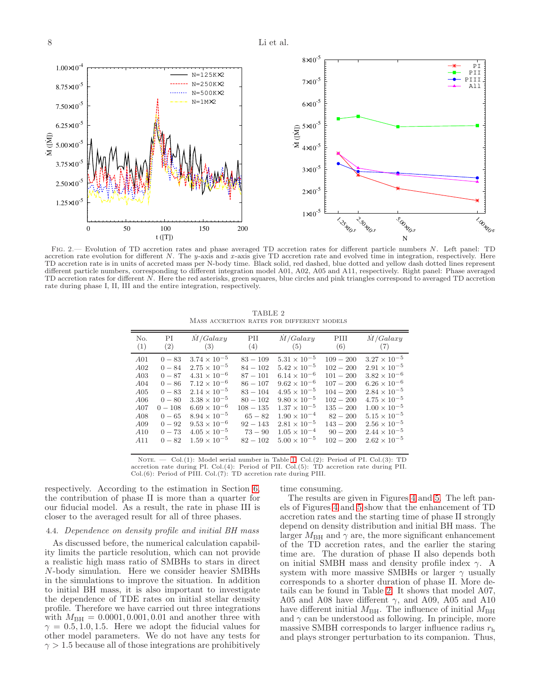8 Li et al.



<span id="page-7-1"></span>Fig. 2.— Evolution of TD accretion rates and phase averaged TD accretion rates for different particle numbers N. Left panel: TD accretion rate evolution for different N. The y-axis and x-axis give TD accretion rate and evolved time in integration, respectively. Here TD accretion rate is in units of accreted mass per N-body time. Black solid, red dashed, blue dotted and yellow dash dotted lines represent different particle numbers, corresponding to different integration model A01, A02, A05 and A11, respectively. Right panel: Phase averaged TD accretion rates for different N. Here the red asterisks, green squares, blue circles and pink triangles correspond to averaged TD accretion rate during phase I, II, III and the entire integration, respectively.

TABLE 2 Mass accretion rates for different models

<span id="page-7-0"></span>

| РI<br>No.<br>(1)<br>(2)                                                                                                                                                                                                    | M/Galaxy<br>(3)                                                                                                                                                                                                                                                                 | PII<br>(4)                                                                                                                                            | M/Galaxy<br>(5)                                                                                                                                                                                                                                                                 | PIII<br>(6)                                                                                                                                                     | M/Galaxy<br>(7)                                                                                                                                                                                                                                                                 |
|----------------------------------------------------------------------------------------------------------------------------------------------------------------------------------------------------------------------------|---------------------------------------------------------------------------------------------------------------------------------------------------------------------------------------------------------------------------------------------------------------------------------|-------------------------------------------------------------------------------------------------------------------------------------------------------|---------------------------------------------------------------------------------------------------------------------------------------------------------------------------------------------------------------------------------------------------------------------------------|-----------------------------------------------------------------------------------------------------------------------------------------------------------------|---------------------------------------------------------------------------------------------------------------------------------------------------------------------------------------------------------------------------------------------------------------------------------|
| A <sub>01</sub><br>$0 - 83$<br>A02<br>$0 - 84$<br>A03<br>$0 - 87$<br>$0 - 86$<br>A04<br>A05<br>$0 - 83$<br>A06<br>$0 - 80$<br>$0 - 108$<br>A07<br>$0 - 65$<br>A08<br>$0 - 92$<br>A09<br>A10<br>$0 - 73$<br>A11<br>$0 - 82$ | $3.74 \times 10^{-5}$<br>$2.75 \times 10^{-5}$<br>$4.31 \times 10^{-6}$<br>$7.12 \times 10^{-6}$<br>$2.14 \times 10^{-5}$<br>$3.38 \times 10^{-5}$<br>$6.69 \times 10^{-6}$<br>$8.94 \times 10^{-5}$<br>$9.53 \times 10^{-6}$<br>$4.05 \times 10^{-5}$<br>$1.59 \times 10^{-5}$ | $83 - 109$<br>$84 - 102$<br>$87 - 101$<br>$86 - 107$<br>$83 - 104$<br>$80 - 102$<br>$108 - 135$<br>$65 - 82$<br>$92 - 143$<br>$73 - 90$<br>$82 - 102$ | $5.31 \times 10^{-5}$<br>$5.42 \times 10^{-5}$<br>$6.14 \times 10^{-6}$<br>$9.62 \times 10^{-6}$<br>$4.95 \times 10^{-5}$<br>$9.80 \times 10^{-5}$<br>$1.37 \times 10^{-5}$<br>$1.90 \times 10^{-4}$<br>$2.81 \times 10^{-5}$<br>$1.05 \times 10^{-4}$<br>$5.00 \times 10^{-5}$ | $109 - 200$<br>$102 - 200$<br>$101 - 200$<br>$107 - 200$<br>$104 - 200$<br>$102 - 200$<br>$135 - 200$<br>$82 - 200$<br>$143 - 200$<br>$90 - 200$<br>$102 - 200$ | $3.27 \times 10^{-5}$<br>$2.91 \times 10^{-5}$<br>$3.82 \times 10^{-6}$<br>$6.26 \times 10^{-6}$<br>$2.84 \times 10^{-5}$<br>$4.75 \times 10^{-5}$<br>$1.00 \times 10^{-5}$<br>$5.15 \times 10^{-5}$<br>$2.56 \times 10^{-5}$<br>$2.44 \times 10^{-5}$<br>$2.62 \times 10^{-5}$ |

NOTE. - Col.(1): Model serial number in Table [1.](#page-5-0) Col.(2): Period of PI. Col.(3): TD accretion rate during PI. Col.(4): Period of PII. Col.(5): TD accretion rate during PII. Col.(6): Period of PIII. Col.(7): TD accretion rate during PIII.

respectively. According to the estimation in Section [6,](#page-13-0) the contribution of phase II is more than a quarter for our fiducial model. As a result, the rate in phase III is closer to the averaged result for all of three phases.

#### <span id="page-7-2"></span>4.4. Dependence on density profile and initial BH mass

As discussed before, the numerical calculation capability limits the particle resolution, which can not provide a realistic high mass ratio of SMBHs to stars in direct N-body simulation. Here we consider heavier SMBHs in the simulations to improve the situation. In addition to initial BH mass, it is also important to investigate the dependence of TDE rates on initial stellar density profile. Therefore we have carried out three integrations with  $M_{\text{BH}} = 0.0001, 0.001, 0.01$  and another three with  $\gamma = 0.5, 1.0, 1.5$ . Here we adopt the fiducial values for other model parameters. We do not have any tests for  $\gamma > 1.5$  because all of those integrations are prohibitively

time consuming.

The results are given in Figures [4](#page-9-0) and [5.](#page-9-1) The left panels of Figures [4](#page-9-0) and [5](#page-9-1) show that the enhancement of TD accretion rates and the starting time of phase II strongly depend on density distribution and initial BH mass. The larger $M_{\rm BH}$  and  $\gamma$  are, the more significant enhancement of the TD accretion rates, and the earlier the staring time are. The duration of phase II also depends both on initial SMBH mass and density profile index  $\gamma$ . A system with more massive SMBHs or larger  $\gamma$  usually corresponds to a shorter duration of phase II. More details can be found in Table [2.](#page-7-0) It shows that model A07, A05 and A08 have different  $\gamma$ , and A09, A05 and A10 have different initial  $M_{\rm BH}$ . The influence of initial  $M_{\rm BH}$ and  $\gamma$  can be understood as following. In principle, more massive SMBH corresponds to larger influence radius  $r<sub>h</sub>$ and plays stronger perturbation to its companion. Thus,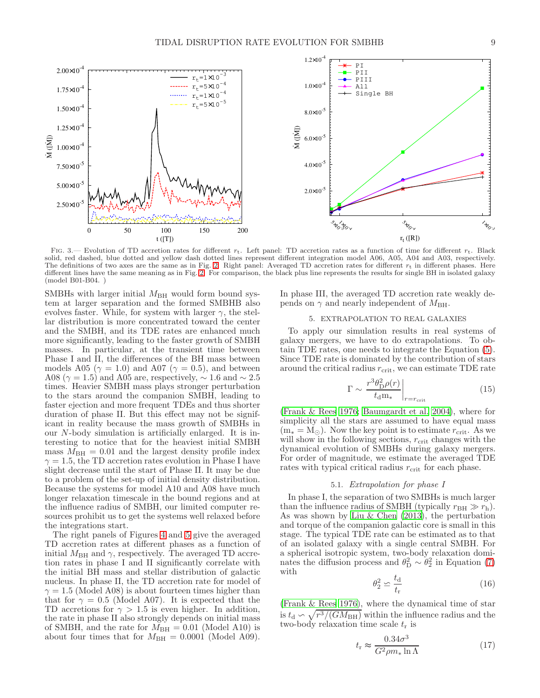

<span id="page-8-3"></span>FIG. 3.— Evolution of TD accretion rates for different  $r_t$ . Left panel: TD accretion rates as a function of time for different  $r_t$ . Black solid, red dashed, blue dotted and yellow dash dotted lines represent different integration model A06, A05, A04 and A03, respectively. The definitions of two axes are the same as in Fig. [2.](#page-7-1) Right panel: Averaged TD accretion rates for different  $r_t$  in different phases. Here different lines have the same meaning as in Fig. [2.](#page-7-1) For comparison, the black plus line represents the results for single BH in isolated galaxy (model B01-B04. )

SMBHs with larger initial  $M_{BH}$  would form bound system at larger separation and the formed SMBHB also evolves faster. While, for system with larger  $\gamma$ , the stellar distribution is more concentrated toward the center and the SMBH, and its TDE rates are enhanced much more significantly, leading to the faster growth of SMBH masses. In particular, at the transient time between Phase I and II, the differences of the BH mass between models A05 ( $\gamma = 1.0$ ) and A07 ( $\gamma = 0.5$ ), and between A08 ( $\gamma = 1.5$ ) and A05 are, respectively,  $\sim 1.6$  and  $\sim 2.5$ times. Heavier SMBH mass plays stronger perturbation to the stars around the companion SMBH, leading to faster ejection and more frequent TDEs and thus shorter duration of phase II. But this effect may not be significant in reality because the mass growth of SMBHs in our N-body simulation is artificially enlarged. It is interesting to notice that for the heaviest initial SMBH mass  $M_{\text{BH}} = 0.01$  and the largest density profile index  $\gamma = 1.5$ , the TD accretion rates evolution in Phase I have slight decrease until the start of Phase II. It may be due to a problem of the set-up of initial density distribution. Because the systems for model A10 and A08 have much longer relaxation timescale in the bound regions and at the influence radius of SMBH, our limited computer resources prohibit us to get the systems well relaxed before the integrations start.

The right panels of Figures [4](#page-9-0) and [5](#page-9-1) give the averaged TD accretion rates at different phases as a function of initial  $M_{\rm BH}$  and  $\gamma$ , respectively. The averaged TD accretion rates in phase I and II significantly correlate with the initial BH mass and stellar distribution of galactic nucleus. In phase II, the TD accretion rate for model of  $\gamma = 1.5$  (Model A08) is about fourteen times higher than that for  $\gamma = 0.5$  (Model A07). It is expected that the TD accretions for  $\gamma > 1.5$  is even higher. In addition, the rate in phase II also strongly depends on initial mass of SMBH, and the rate for  $M_{\text{BH}} = 0.01$  (Model A10) is about four times that for  $M_{\text{BH}} = 0.0001$  (Model A09).

In phase III, the averaged TD accretion rate weakly depends on  $\gamma$  and nearly independent of  $M_{\rm BH}$ .

# 5. EXTRAPOLATION TO REAL GALAXIES

<span id="page-8-0"></span>To apply our simulation results in real systems of galaxy mergers, we have to do extrapolations. To obtain TDE rates, one needs to integrate the Equation [\(5\)](#page-2-2). Since TDE rate is dominated by the contribution of stars around the critical radius  $r_{\text{crit}}$ , we can estimate TDE rate

<span id="page-8-5"></span>
$$
\Gamma \sim \left. \frac{r^3 \theta_{\rm D}^2 \rho(r)}{t_{\rm d} \mathbf{m}_*} \right|_{r=r_{\rm crit}} \tag{15}
$$

[\(Frank & Rees 1976](#page-14-39); [Baumgardt et al. 2004](#page-14-40)), where for simplicity all the stars are assumed to have equal mass  $(m_* = M_{\odot})$ . Now the key point is to estimate  $r_{\text{crit}}$ . As we will show in the following sections,  $r_{\text{crit}}$  changes with the dynamical evolution of SMBHs during galaxy mergers. For order of magnitude, we estimate the averaged TDE rates with typical critical radius  $r_{\text{crit}}$  for each phase.

## 5.1. Extrapolation for phase I

<span id="page-8-2"></span>In phase I, the separation of two SMBHs is much larger than the influence radius of SMBH (typically  $r_{\text{BH}} \gg r_{\text{h}}$ ). As was shown by [Liu & Chen \(2013\)](#page-15-62), the perturbation and torque of the companion galactic core is small in this stage. The typical TDE rate can be estimated as to that of an isolated galaxy with a single central SMBH. For a spherical isotropic system, two-body relaxation dominates the diffusion process and  $\theta_{\rm D}^2 \sim \theta_2^2$  in Equation [\(7\)](#page-2-3) with

<span id="page-8-1"></span>
$$
\theta_2^2 \simeq \frac{t_{\rm d}}{t_{\rm r}}\tag{16}
$$

[\(Frank & Rees 1976\)](#page-14-39), where the dynamical time of star is  $t_{\rm d} \backsim \sqrt{r^3/(GM_{\rm BH})}$  within the influence radius and the two-body relaxation time scale  $t_r$  is

<span id="page-8-4"></span>
$$
t_{\rm r} \approx \frac{0.34\sigma^3}{G^2 \rho m_* \ln \Lambda} \tag{17}
$$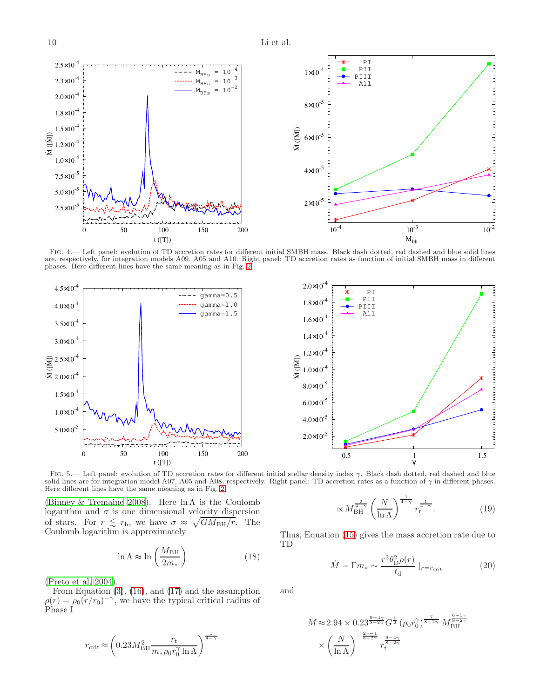

<span id="page-9-0"></span>Fig. 4.— Left panel: evolution of TD accretion rates for different initial SMBH mass. Black dash dotted, red dashed and blue solid lines are, respectively, for integration models A09, A05 and A10. Right panel: TD accretion rates as function of initial SMBH mass in different phases. Here different lines have the same meaning as in Fig. [2.](#page-7-1)



<span id="page-9-1"></span>FIG. 5.— Left panel: evolution of TD accretion rates for different initial stellar density index  $\gamma$ . Black dash dotted, red dashed and blue solid lines are for integration model A07, A05 and A08, respectively. Right panel: TD accretion rates as a function of  $\gamma$  in different phases. Here different lines have the same meaning as in Fig. [2.](#page-7-1)

[\(Binney & Tremaine 2008\)](#page-14-45). Here  $\ln \Lambda$  is the Coulomb logarithm and  $\sigma$  is one dimensional velocity dispersion of stars. For  $r \leq r_h$ , we have  $\sigma \approx \sqrt{GM_{BH}/r}$ . The Coulomb logarithm is approximately

$$
\ln \Lambda \approx \ln \left( \frac{M_{\rm BH}}{2m_*} \right) \tag{18}
$$

[\(Preto et al. 2004\)](#page-15-72).

From Equation  $(3)$ ,  $(16)$ , and  $(17)$  and the assumption  $\rho(r) = \rho_0 (r/r_0)^{-\gamma}$ , we have the typical critical radius of Phase I

$$
r_{\rm crit} \approx \left(0.23 M_{\rm BH}^2 \frac{r_{\rm t}}{m_* \rho_0 r_0^\gamma \ln\Lambda}\right)^{\frac{1}{4-\gamma}}
$$

$$
\propto M_{\rm BH}^{\frac{2}{4-\gamma}} \left(\frac{N}{\ln \Lambda}\right)^{\frac{1}{4-\gamma}} r_{\rm t}^{\frac{1}{4-\gamma}}.\tag{19}
$$

Thus, Equation [\(15\)](#page-8-5) gives the mass accretion rate due to TD

<span id="page-9-3"></span>
$$
\dot{M} = \Gamma m_* \sim \frac{r^3 \theta_{\rm D}^2 \rho(r)}{t_{\rm d}} \left|_{r=r_{\rm crit}} \right. \tag{20}
$$

and

<span id="page-9-2"></span>
$$
\dot{M} \approx 2.94 \times 0.23^{\frac{9-4\gamma}{8-2\gamma}} G^{\frac{1}{2}} (\rho_0 r_0^{\gamma})^{\frac{7}{8-2\gamma}} M_{\text{BH}}^{\frac{6-5\gamma}{8-2\gamma}} \times \left(\frac{N}{\ln \Lambda}\right)^{-\frac{2\gamma-1}{8-2\gamma}} r_{\text{t}}^{\frac{9-4\gamma}{8-2\gamma}}
$$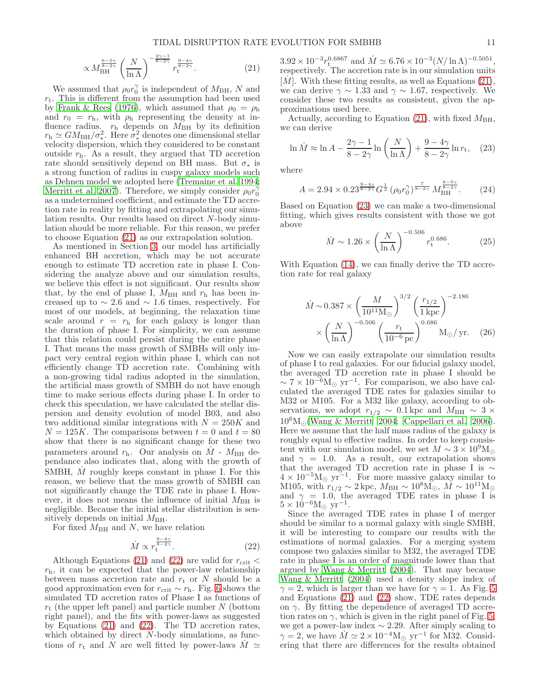$$
\propto M_{\rm BH}^{\frac{6-5\gamma}{8-2\gamma}} \left(\frac{N}{\ln\Lambda}\right)^{-\frac{2\gamma-1}{8-2\gamma}} r_{\rm t}^{\frac{9-4\gamma}{8-2\gamma}}.\tag{21}
$$

We assumed that  $\rho_0 r_0^{\gamma}$  is independent of  $M_{\text{BH}}$ , N and  $r_t$ . This is different from the assumption had been used by [Frank & Rees \(1976\)](#page-14-39), which assumed that  $\rho_0 = \rho_h$ and  $r_0 = r_h$ , with  $\rho_h$  representing the density at influence radius.  $r<sub>h</sub>$  depends on  $M<sub>BH</sub>$  by its definition  $r_{\rm h} \simeq GM_{\rm BH}/\sigma_*^2$ . Here  $\sigma_*^2$  denotes one dimensional stellar velocity dispersion, which they considered to be constant outside  $r<sub>h</sub>$ . As a result, they argued that TD accretion rate should sensitively depend on BH mass. But  $\sigma_*$  is a strong function of radius in cuspy galaxy models such as Dehnen model we adopted here [\(Tremaine et al. 1994;](#page-15-73) [Merritt et al. 2007\)](#page-15-74). Therefore, we simply consider  $\rho_0 r_0^{\gamma}$ as a undetermined coefficient, and estimate the TD accretion rate in reality by fitting and extrapolating our simulation results. Our results based on direct N-body simulation should be more reliable. For this reason, we prefer to choose Equation [\(21\)](#page-9-2) as our extrapolation solution.

As mentioned in Section [3,](#page-2-1) our model has artificially enhanced BH accretion, which may be not accurate enough to estimate TD accretion rate in phase I. Considering the analyze above and our simulation results, we believe this effect is not significant. Our results show that, by the end of phase I,  $M_{\rm BH}$  and  $r_{\rm h}$  has been increased up to  $\sim 2.6$  and  $\sim 1.6$  times, respectively. For most of our models, at beginning, the relaxation time scale around  $r = r<sub>h</sub>$  for each galaxy is longer than the duration of phase I. For simplicity, we can assume that this relation could persist during the entire phase I. That means the mass growth of SMBHs will only impact very central region within phase I, which can not efficiently change TD accretion rate. Combining with a non-growing tidal radius adopted in the simulation, the artificial mass growth of SMBH do not have enough time to make serious effects during phase I. In order to check this speculation, we have calculated the stellar dispersion and density evolution of model B03, and also two additional similar integrations with  $N = 250K$  and  $N = 125K$ . The comparisons between  $t = 0$  and  $t = 80$ show that there is no significant change for these two parameters around  $r_{\rm h}$ . Our analysis on  $\dot{M}$  -  $M_{\rm BH}$  dependance also indicates that, along with the growth of SMBH, M roughly keeps constant in phase I. For this reason, we believe that the mass growth of SMBH can not significantly change the TDE rate in phase I. However, it does not means the influence of initial  $M_{\rm BH}$  is negligible. Because the initial stellar distribution is sensitively depends on initial  $M_{\rm BH}$ .

For fixed  $M_{\rm BH}$  and N, we have relation

<span id="page-10-0"></span>
$$
\dot{M} \propto r_t^{\frac{9-4\gamma}{8-2\gamma}}.\tag{22}
$$

Although Equations [\(21\)](#page-9-2) and [\(22\)](#page-10-0) are valid for  $r_{\text{crit}}$  <  $r<sub>h</sub>$ , it can be expected that the power-law relationship between mass accretion rate and  $r_t$  or N should be a good approximation even for  $r_{\text{crit}} \sim r_{\text{h}}$ . Fig. [6](#page-12-0) shows the simulated TD accretion rates of Phase I as functions of  $r_{\rm t}$  (the upper left panel) and particle number N (bottom right panel), and the fits with power-laws as suggested by Equations [\(21\)](#page-9-2) and [\(22\)](#page-10-0). The TD accretion rates, which obtained by direct  $N$ -body simulations, as functions of  $r_t$  and N are well fitted by power-laws  $M \simeq$ 

 $3.92 \times 10^{-3} r_\text{t}^{0.6867}$  and  $\dot{M} \simeq 6.76 \times 10^{-3} (N / \ln \Lambda)^{-0.5051}$ , respectively. The accretion rate is in our simulation units [ $M$ ]. With these fitting results, as well as Equations [\(21\)](#page-9-2), we can derive  $\gamma \sim 1.33$  and  $\gamma \sim 1.67$ , respectively. We consider these two results as consistent, given the approximations used here.

Actually, according to Equation [\(21\)](#page-9-2), with fixed  $M_{\rm BH}$ , we can derive

<span id="page-10-1"></span>
$$
\ln \dot{M} \approx \ln A - \frac{2\gamma - 1}{8 - 2\gamma} \ln \left( \frac{N}{\ln \Lambda} \right) + \frac{9 - 4\gamma}{8 - 2\gamma} \ln r_{\rm t}, \quad (23)
$$

where

$$
A = 2.94 \times 0.23^{\frac{9-4\gamma}{8-2\gamma}} G^{\frac{1}{2}} \left( \rho_0 r_0^{\gamma} \right)^{\frac{7}{8-2\gamma}} M_{\text{BH}}^{\frac{6-5\gamma}{8-2\gamma}}. \tag{24}
$$

Based on Equation [\(23\)](#page-10-1) we can make a two-dimensional fitting, which gives results consistent with those we got above

$$
\dot{M} \sim 1.26 \times \left(\frac{N}{\ln \Lambda}\right)^{-0.506} r_{\rm t}^{0.686}.\tag{25}
$$

With Equation [\(14\)](#page-3-0), we can finally derive the TD accretion rate for real galaxy

$$
\dot{M} \sim 0.387 \times \left(\frac{M}{10^{11} \text{M}_{\odot}}\right)^{3/2} \left(\frac{r_{1/2}}{1 \text{ kpc}}\right)^{-2.186} \times \left(\frac{N}{\ln \Lambda}\right)^{-0.506} \left(\frac{r_{\text{t}}}{10^{-6} \text{ pc}}\right)^{0.686} \text{M}_{\odot}/\text{ yr.}
$$
 (26)

Now we can easily extrapolate our simulation results of phase I to real galaxies. For our fiducial galaxy model, the averaged TD accretion rate in phase I should be  $\sim 7 \times 10^{-6} M_{\odot}$  yr<sup>-1</sup>. For comparison, we also have calculated the averaged TDE rates for galaxies similar to M32 or M105. For a M32 like galaxy, according to observations, we adopt  $r_{1/2} \sim 0.1 \text{ kpc}$  and  $M_{\text{BH}} \sim 3 \times$  $10^6M_{\odot}$  [\(Wang & Merritt 2004;](#page-15-50) [Cappellari et al. 2006](#page-14-46)). Here we assume that the half mass radius of the galaxy is roughly equal to effective radius. In order to keep consistent with our simulation model, we set  $M \sim 3 \times 10^9 \text{M}_{\odot}$ and  $\gamma = 1.0$ . As a result, our extrapolation shows that the averaged TD accretion rate in phase I is  $\sim$  $4 \times 10^{-5} M_{\odot}$  yr<sup>-1</sup>. For more massive galaxy similar to M105, with  $r_{1/2} \sim 2 \text{ kpc}$ ,  $M_{\text{BH}} \sim 10^8 \text{M}_{\odot}$ ,  $\dot{M} \sim 10^{11} \text{M}_{\odot}$ and  $\gamma = 1.0$ , the averaged TDE rates in phase I is  $5 \times 10^{-6} M_{\odot}$  yr<sup>-1</sup>.

Since the averaged TDE rates in phase I of merger should be similar to a normal galaxy with single SMBH, it will be interesting to compare our results with the estimations of normal galaxies. For a merging system compose two galaxies similar to M32, the averaged TDE rate in phase I is an order of magnitude lower than that argued by [Wang & Merritt \(2004\)](#page-15-50). That may because [Wang & Merritt \(2004\)](#page-15-50) used a density slope index of  $\gamma = 2$ , which is larger than we have for  $\gamma = 1$ . As Fig. [5](#page-9-1) and Equations [\(21\)](#page-9-2) and [\(22\)](#page-10-0) show, TDE rates depends on  $\gamma$ . By fitting the dependence of averaged TD accretion rates on  $\gamma$ , which is given in the right panel of Fig. [5,](#page-9-1) we get a power-law index  $\sim$  2.29. After simply scaling to  $\gamma = 2$ , we have  $\dot{M} \simeq 2 \times 10^{-4} M_{\odot}$  yr<sup>-1</sup> for M32. Considering that there are differences for the results obtained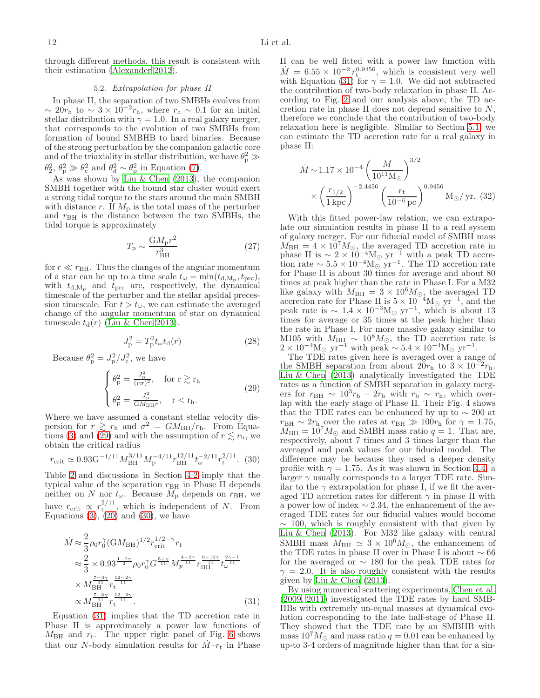<span id="page-11-1"></span>through different methods, this result is consistent with their estimation [\(Alexander 2012\)](#page-14-47).

## 5.2. Extrapolation for phase II

In phase II, the separation of two SMBHs evolves from  $\sim 20r_{\rm h}$  to  $\sim 3 \times 10^{-2}r_{\rm h}$ , where  $r_{\rm h} \sim 0.1$  for an initial stellar distribution with  $\gamma = 1.0$ . In a real galaxy merger, that corresponds to the evolution of two SMBHs from formation of bound SMBHB to hard binaries. Because of the strong perturbation by the companion galactic core and of the triaxiality in stellar distribution, we have  $\theta_{\rm p}^2 \gg$  $\theta_2^2$ ,  $\theta_p^2 \gg \theta_c^2$  and  $\theta_d^2 \sim \theta_p^2$  in Equation [\(7\)](#page-2-3).

As was shown by [Liu & Chen \(2013\)](#page-15-62), the companion SMBH together with the bound star cluster would exert a strong tidal torque to the stars around the main SMBH with distance r. If  $M_{\rm p}$  is the total mass of the perturber and  $r_{\text{BH}}$  is the distance between the two SMBHs, the tidal torque is approximately

$$
T_{\rm p} \sim \frac{\text{G}M_{\rm p}r^2}{r_{\rm BH}^3} \tag{27}
$$

for  $r \ll r_{\text{BH}}$ . Thus the changes of the angular momentum of a star can be up to a time scale  $t_{\omega} = \min(t_{d, \text{M}_p}, t_{\text{prc}})$ , with  $t_{\rm d,M_p}$  and  $t_{\rm prc}$  are, respectively, the dynamical timescale of the perturber and the stellar apsidal precession timescale. For  $t > t_{\omega}$ , we can estimate the averaged change of the angular momentum of star on dynamical timescale  $t_d(r)$  [\(Liu & Chen 2013](#page-15-62)).

$$
J_p^2 = T_p^2 t_\omega t_\mathrm{d}(r) \tag{28}
$$

Because  $\theta_{\rm p}^2 = J_{\rm p}^2 / J_{\rm c}^2$ , we have

<span id="page-11-0"></span>
$$
\begin{cases}\n\theta_{\rm p}^2 = \frac{J_{\rm p}^2}{(r\sigma)^2}, & \text{for } r \gtrsim r_{\rm h} \\
\theta_{\rm p}^2 = \frac{J_{\rm p}^2}{GM_{\rm BH}r}, & r < r_{\rm h}.\n\end{cases}
$$
\n(29)

Where we have assumed a constant stellar velocity dispersion for  $r \gtrsim r_h$  and  $\sigma^2 = GM_{BH}/r_h$ . From Equa-tions [\(3\)](#page-2-4) and [\(29\)](#page-11-0) and with the assumption of  $r \lesssim r_{\rm h}$ , we obtain the critical radius

<span id="page-11-2"></span>
$$
r_{\rm crit} \simeq 0.93 \rm{G}^{-1/11} M_{\rm BH}^{3/11} M_{\rm p}^{-4/11} r_{\rm BH}^{12/11} t_{\omega}^{-2/11} r_{\rm t}^{2/11}.
$$
 (30)

Table [2](#page-7-0) and discussions in Section [4.2](#page-5-2) imply that the typical value of the separation  $r_{BH}$  in Phase II depends neither on N nor  $t_{\omega}$ . Because  $M_{\rm p}$  depends on  $r_{\rm BH}$ , we have  $r_{\text{crit}} \propto r_{\text{t}}^{2/11}$ , which is independent of N. From Equations  $(3)$ ,  $(20)$  and  $(30)$ , we have

<span id="page-11-3"></span>
$$
\dot{M} \approx \frac{2}{3} \rho_0 r_0^{\gamma} (GM_{\rm BH})^{1/2} r_{\rm crit}^{1/2 - \gamma} r_{\rm t} \n\approx \frac{2}{3} \times 0.93^{\frac{1-2\gamma}{2}} \rho_0 r_0^{\gamma} G^{\frac{5+\gamma}{11}} M_p^{\frac{4-2\gamma}{11}} r_{\rm BH}^{\frac{6-12\gamma}{11}} t_{\omega}^{\frac{2\gamma-1}{11}} \n\times M_{\rm BH}^{\frac{7-3\gamma}{11}} r_{\rm t}^{\frac{12-2\gamma}{11}} \n\propto M_{\rm BH}^{\frac{7-3\gamma}{11}} r_{\rm t}^{\frac{12-2\gamma}{11}}.
$$
\n(31)

Equation [\(31\)](#page-11-3) implies that the TD accretion rate in Phase II is approximately a power law functions of  $M_{\text{BH}}$  and  $r_{\text{t}}$ . The upper right panel of Fig. [6](#page-12-0) shows that our N-body simulation results for  $M-r_t$  in Phase

II can be well fitted with a power law function with  $\dot{M} = 6.55 \times 10^{-2} r_{\rm t}^{0.9456}$ , which is consistent very well with Equation [\(31\)](#page-11-3) for  $\gamma = 1.0$ . We did not subtracted the contribution of two-body relaxation in phase II. According to Fig. [2](#page-7-1) and our analysis above, the TD accretion rate in phase II does not depend sensitive to N, therefore we conclude that the contribution of two-body relaxation here is negligible. Similar to Section [5.1,](#page-8-2) we can estimate the TD accretion rate for a real galaxy in phase II:

$$
\dot{M} \sim 1.17 \times 10^{-4} \left(\frac{M}{10^{11} \text{M}_{\odot}}\right)^{3/2} \times \left(\frac{r_{1/2}}{1 \text{ kpc}}\right)^{-2.4456} \left(\frac{r_t}{10^{-6} \text{ pc}}\right)^{0.9456} \text{M}_{\odot}/\text{ yr. (32)}
$$

With this fitted power-law relation, we can extrapolate our simulation results in phase II to a real system of galaxy merger. For our fiducial model of SMBH mass  $M_{\text{BH}} = 4 \times 10^7 M_{\odot}$ , the averaged TD accretion rate in phase II is  $\sim 2 \times 10^{-4} M_{\odot}$  yr<sup>-1</sup> with a peak TD accretion rate  $\sim 5.5 \times 10^{-4} M_{\odot}$  yr<sup>-1</sup>. The TD accretion rate for Phase II is about 30 times for average and about 80 times at peak higher than the rate in Phase I. For a M32 like galaxy with  $M_{\text{BH}} = 3 \times 10^6 M_{\odot}$ , the averaged TD accretion rate for Phase II is  $5 \times 10^{-4}$ M<sub>☉</sub> yr<sup>-1</sup>, and the peak rate is  $\sim 1.4 \times 10^{-3} M_{\odot}$  yr<sup>-1</sup>, which is about 13 times for average or 35 times at the peak higher than the rate in Phase I. For more massive galaxy similar to M105 with  $M_{\text{BH}} \sim 10^8 M_{\odot}$ , the TD accretion rate is  $2 \times 10^{-4} M_{\odot}$  yr<sup>-1</sup> with peak ~  $5.4 \times 10^{-4} M_{\odot}$  yr<sup>-1</sup>.

The TDE rates given here is averaged over a range of the SMBH separation from about  $20r_h$  to  $3 \times 10^{-2}r_h$ . [Liu & Chen \(2013\)](#page-15-62) analytically investigated the TDE rates as a function of SMBH separation in galaxy mergers for  $r_{\text{BH}} \sim 10^3 r_{\text{b}} - 2r_{\text{b}}$  with  $r_{\text{b}} \sim r_{\text{h}}$ , which overlap with the early stage of Phase II. Their Fig. 4 shows that the TDE rates can be enhanced by up to  $\sim 200$  at  $r_{\text{BH}} \sim 2r_{\text{h}}$  over the rates at  $r_{\text{BH}} \gg 100r_{\text{h}}$  for  $\gamma = 1.75$ ,  $M_{\text{BH}} = 10^7 M_{\odot}$  and SMBH mass ratio  $q = 1$ . That are, respectively, about 7 times and 3 times larger than the averaged and peak values for our fiducial model. The difference may be because they used a deeper density profile with  $\gamma = 1.75$ . As it was shown in Section [4.4,](#page-7-2) a larger  $\gamma$  usually corresponds to a larger TDE rate. Similar to the  $\gamma$  extrapolation for phase I, if we fit the averaged TD accretion rates for different  $\gamma$  in phase II with a power low of index  $\sim$  2.34, the enhancement of the averaged TDE rates for our fiducial values would become  $\sim$  100, which is roughly consistent with that given by [Liu & Chen \(2013\)](#page-15-62). For M32 like galaxy with central SMBH mass  $M_{\text{BH}} \simeq 3 \times 10^6 M_{\odot}$ , the enhancement of the TDE rates in phase II over in Phase I is about ∼ 66 for the averaged or  $\sim$  180 for the peak TDE rates for  $\gamma = 2.0$ . It is also roughly consistent with the results given by [Liu & Chen \(2013](#page-15-62)).

By using numerical scattering experiments, [Chen et al.](#page-14-35) [\(2009,](#page-14-35) [2011\)](#page-14-36) investigated the TDE rates by hard SMB-HBs with extremely un-equal masses at dynamical evolution corresponding to the late half-stage of Phase II. They showed that the TDE rate by an SMBHB with mass  $10^7 M_{\odot}$  and mass ratio  $q = 0.01$  can be enhanced by up-to 3-4 orders of magnitude higher than that for a sin-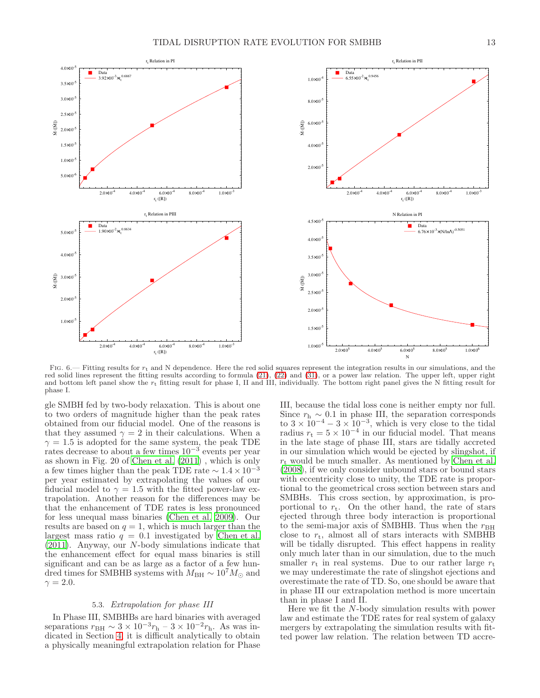



<span id="page-12-0"></span>FIG.  $6.$  Fitting results for  $r_t$  and N dependence. Here the red solid squares represent the integration results in our simulations, and the red solid lines represent the fitting results according to formula [\(21\)](#page-9-2), [\(22\)](#page-10-0) and [\(31\)](#page-11-3), or a power law relation. The upper left, upper right and bottom left panel show the  $r_t$  fitting result for phase I, II and III, individually. The bottom right panel gives the N fitting result for phase I. .

gle SMBH fed by two-body relaxation. This is about one to two orders of magnitude higher than the peak rates obtained from our fiducial model. One of the reasons is that they assumed  $\gamma = 2$  in their calculations. When a  $\gamma = 1.5$  is adopted for the same system, the peak TDE rates decrease to about a few times 10<sup>−</sup><sup>3</sup> events per year as shown in Fig. 20 of [Chen et al. \(2011\)](#page-14-36) , which is only a few times higher than the peak TDE rate  $\sim 1.4 \times 10^{-3}$ per year estimated by extrapolating the values of our fiducial model to  $\gamma = 1.5$  with the fitted power-law extrapolation. Another reason for the differences may be that the enhancement of TDE rates is less pronounced for less unequal mass binaries [\(Chen et al. 2009](#page-14-35)). Our results are based on  $q = 1$ , which is much larger than the largest mass ratio  $q = 0.1$  investigated by [Chen et al.](#page-14-36) [\(2011\)](#page-14-36). Anyway, our N-body simulations indicate that the enhancement effect for equal mass binaries is still significant and can be as large as a factor of a few hundred times for SMBHB systems with  $M_{\text{BH}} \sim 10^7 M_{\odot}$  and  $\gamma = 2.0$ .

## 5.3. Extrapolation for phase III

In Phase III, SMBHBs are hard binaries with averaged separations  $r_{\text{BH}} \sim 3 \times 10^{-3} r_{\text{h}} - 3 \times 10^{-2} r_{\text{h}}$ . As was indicated in Section [4,](#page-4-0) it is difficult analytically to obtain a physically meaningful extrapolation relation for Phase

III, because the tidal loss cone is neither empty nor full. Since  $r<sub>h</sub> \sim 0.1$  in phase III, the separation corresponds to  $3 \times 10^{-4} - 3 \times 10^{-3}$ , which is very close to the tidal radius  $r_t = 5 \times 10^{-4}$  in our fiducial model. That means in the late stage of phase III, stars are tidally accreted in our simulation which would be ejected by slingshot, if  $r_t$  would be much smaller. As mentioned by [Chen et al.](#page-14-33) [\(2008\)](#page-14-33), if we only consider unbound stars or bound stars with eccentricity close to unity, the TDE rate is proportional to the geometrical cross section between stars and SMBHs. This cross section, by approximation, is proportional to  $r_t$ . On the other hand, the rate of stars ejected through three body interaction is proportional to the semi-major axis of SMBHB. Thus when the  $r<sub>BH</sub>$ close to  $r_t$ , almost all of stars interacts with SMBHB will be tidally disrupted. This effect happens in reality only much later than in our simulation, due to the much smaller  $r_t$  in real systems. Due to our rather large  $r_t$ we may underestimate the rate of slingshot ejections and overestimate the rate of TD. So, one should be aware that in phase III our extrapolation method is more uncertain than in phase I and II.

Here we fit the N-body simulation results with power law and estimate the TDE rates for real system of galaxy mergers by extrapolating the simulation results with fitted power law relation. The relation between TD accre-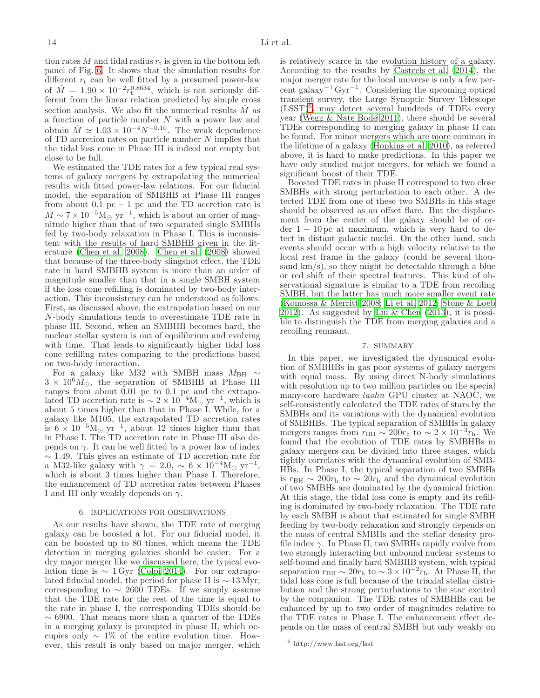tion rates  $M$  and tidal radius  $r_t$  is given in the bottom left panel of Fig. [6.](#page-12-0) It shows that the simulation results for different  $r_t$  can be well fitted by a presumed power-law of  $\dot{M} = 1.90 \times 10^{-2} r_t^{0.8634}$ , which is not seriously different from the linear relation predicted by simple cross section analysis. We also fit the numerical results  $\dot{M}$  as a function of particle number N with a power law and obtain  $\dot{M} \simeq 1.03 \times 10^{-4} N^{-0.10}$ . The weak dependence of TD accretion rates on particle number N implies that the tidal loss cone in Phase III is indeed not empty but close to be full.

We estimated the TDE rates for a few typical real systems of galaxy mergers by extrapolating the numerical results with fitted power-law relations. For our fiducial model, the separation of SMBHB at Phase III ranges from about  $0.1$  pc  $-1$  pc and the TD accretion rate is  $\dot{M} \sim 7 \times 10^{-5} M_{\odot}$  yr<sup>-1</sup>, which is about an order of magnitude higher than that of two separated single SMBHs fed by two-body relaxation in Phase I. This is inconsistent with the results of hard SMBHB given in the literature [\(Chen et al. 2008\)](#page-14-33). [Chen et al. \(2008\)](#page-14-33) showed that because of the three-body slingshot effect, the TDE rate in hard SMBHB system is more than an order of magnitude smaller than that in a single SMBH system if the loss cone refilling is dominated by two-body interaction. This inconsistency can be understood as follows. First, as discussed above, the extrapolation based on our N-body simulations tends to overestimate TDE rate in phase III. Second, when an SMBHB becomes hard, the nuclear stellar system is out of equilibrium and evolving with time. That leads to significantly higher tidal loss cone refilling rates comparing to the predictions based on two-body interaction.

For a galaxy like M32 with SMBH mass  $M_{\rm BH}$  ∼  $3 \times 10^6 \tilde{M}_{\odot}$ , the separation of SMBHB at Phase III ranges from about 0.01 pc to 0.1 pc and the extrapolated TD accretion rate is  $\sim 2 \times 10^{-4} M_{\odot}$  yr<sup>-1</sup>, which is about 5 times higher than that in Phase I. While, for a galaxy like M105, the extrapolated TD accretion rates is  $6 \times 10^{-5}$ M<sub>☉</sub> yr<sup>-1</sup>, about 12 times higher than that in Phase I. The TD accretion rate in Phase III also depends on  $\gamma$ . It can be well fitted by a power law of index  $\sim$  1.49. This gives an estimate of TD accretion rate for a M32-like galaxy with  $\gamma = 2.0, \sim 6 \times 10^{-4} M_{\odot} \text{ yr}^{-1}$ , which is about 3 times higher than Phase I. Therefore, the enhancement of TD accretion rates between Phases I and III only weakly depends on  $\gamma$ .

#### 6. IMPLICATIONS FOR OBSERVATIONS

<span id="page-13-0"></span>As our results have shown, the TDE rate of merging galaxy can be boosted a lot. For our fiducial model, it can be boosted up to 80 times, which means the TDE detection in merging galaxies should be easier. For a dry major merger like we discussed here, the typical evolution time is  $\sim 1$  Gyr [\(Colpi 2014\)](#page-14-16). For our extrapolated fiducial model, the period for phase II is  $\sim 13 \,\mathrm{Myr}$ , corresponding to  $\sim 2600$  TDEs. If we simply assume that the TDE rate for the rest of the time is equal to the rate in phase I, the corresponding TDEs should be  $\sim$  6900. That means more than a quarter of the TDEs in a merging galaxy is prompted in phase II, which occupies only  $\sim 1\%$  of the entire evolution time. However, this result is only based on major merger, which

is relatively scarce in the evolution history of a galaxy. According to the results by [Casteels et al. \(2014\)](#page-14-48), the major merger rate for the local universe is only a few percent galaxy−<sup>1</sup> Gyr−<sup>1</sup> . Considering the upcoming optical transient survey, the Large Synoptic Survey Telescope (LSST)[6](#page-13-2) , may detect several hundreds of TDEs every year [\(Wegg & Nate Bode 2011](#page-15-61)), there should be several TDEs corresponding to merging galaxy in phase II can be found. For minor mergers which are more common in the lifetime of a galaxy [\(Hopkins et al. 2010\)](#page-14-49), as referred above, it is hard to make predictions. In this paper we have only studied major mergers, for which we found a significant boost of their TDE.

Boosted TDE rates in phase II correspond to two close SMBHs with strong perturbation to each other. A detected TDE from one of these two SMBHs in this stage should be observed as an offset flare. But the displacement from the center of the galaxy should be of or- $\text{der } 1 - 10 \text{ pc at maximum, which is very hard to de$ tect in distant galactic nuclei. On the other hand, such events should occur with a high velocity relative to the local rest frame in the galaxy (could be several thousand km/s), so they might be detectable through a blue or red shift of their spectral features. This kind of observational signature is similar to a TDE from recoiling SMBH, but the latter has much more smaller event rate [\(Komossa & Merritt 2008;](#page-15-56) [Li et al. 2012](#page-15-59); [Stone & Loeb](#page-15-60) [2012\)](#page-15-60). As suggested by [Liu & Chen \(2013](#page-15-62)), it is possible to distinguish the TDE from merging galaxies and a recoiling remnant.

### 7. SUMMARY

<span id="page-13-1"></span>In this paper, we investigated the dynamical evolution of SMBHBs in gas poor systems of galaxy mergers with equal mass. By using direct N-body simulations with resolution up to two million particles on the special many-core hardware laohu GPU cluster at NAOC, we self-consistently calculated the TDE rates of stars by the SMBHs and its variations with the dynamical evolution of SMBHBs. The typical separation of SMBHs in galaxy mergers ranges from  $r_{\text{BH}} \sim 200 r_{\text{h}}$  to  $\sim 2 \times 10^{-3} r_{\text{h}}$ . We found that the evolution of TDE rates by SMBHBs in galaxy mergers can be divided into three stages, which tightly correlates with the dynamical evolution of SMB-HBs. In Phase I, the typical separation of two SMBHs is  $r_{BH} \sim 200r_h$  to  $\sim 20r_h$  and the dynamical evolution of two SMBHs are dominated by the dynamical friction. At this stage, the tidal loss cone is empty and its refilling is dominated by two-body relaxation. The TDE rate by each SMBH is about that estimated for single SMBH feeding by two-body relaxation and strongly depends on the mass of central SMBHs and the stellar density profile index  $\gamma$ . In Phase II, two SMBHs rapidly evolve from two strongly interacting but unbound nuclear systems to self-bound and finally hard SMBHB system, with typical separation  $r_{\text{BH}} \sim 20r_{\text{h}}$  to  $\sim 3 \times 10^{-2}r_{\text{h}}$ . At Phase II, the tidal loss cone is full because of the triaxial stellar distribution and the strong perturbations to the star excited by the companion. The TDE rates of SMBHBs can be enhanced by up to two order of magnitudes relative to the TDE rates in Phase I. The enhancement effect depends on the mass of central SMBH but only weakly on

<span id="page-13-2"></span><sup>6</sup> http://www.lsst.org/lsst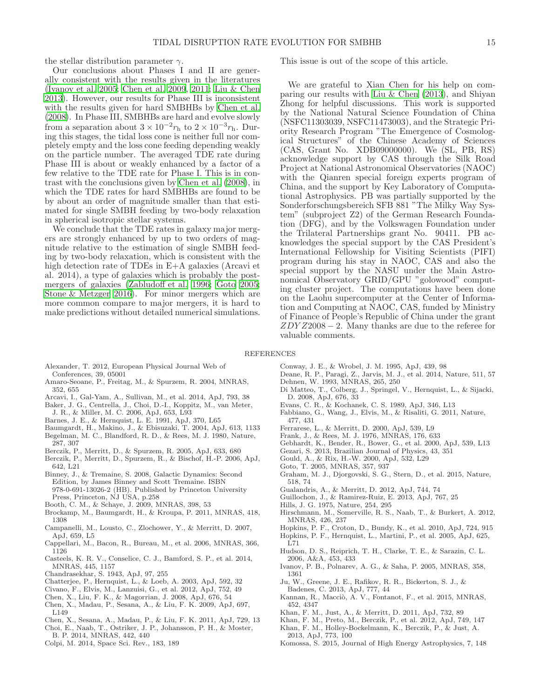the stellar distribution parameter  $\gamma$ .

Our conclusions about Phases I and II are generally consistent with the results given in the literatures [\(Ivanov et al. 2005;](#page-14-34) [Chen et al. 2009,](#page-14-35) [2011;](#page-14-36) [Liu & Chen](#page-15-62) [2013\)](#page-15-62). However, our results for Phase III is inconsistent with the results given for hard SMBHBs by [Chen et al.](#page-14-33) [\(2008\)](#page-14-33). In Phase III, SMBHBs are hard and evolve slowly from a separation about  $3 \times 10^{-2} r_h$  to  $2 \times 10^{-3} r_h$ . During this stages, the tidal loss cone is neither full nor completely empty and the loss cone feeding depending weakly on the particle number. The averaged TDE rate during Phase III is about or weakly enhanced by a factor of a few relative to the TDE rate for Phase I. This is in contrast with the conclusions given by [Chen et al. \(2008\)](#page-14-33), in which the TDE rates for hard SMBHBs are found to be by about an order of magnitude smaller than that estimated for single SMBH feeding by two-body relaxation in spherical isotropic stellar systems.

We conclude that the TDE rates in galaxy major mergers are strongly enhanced by up to two orders of magnitude relative to the estimation of single SMBH feeding by two-body relaxation, which is consistent with the high detection rate of TDEs in E+A galaxies (Arcavi et al. 2014), a type of galaxies which is probably the postmergers of galaxies [\(Zabludoff et al. 1996;](#page-15-64) [Goto 2005;](#page-14-38) [Stone & Metzger 2016](#page-15-54)). For minor mergers which are more common compare to major mergers, it is hard to make predictions without detailed numerical simulations.

This issue is out of the scope of this article.

We are grateful to Xian Chen for his help on comparing our results with [Liu & Chen \(2013](#page-15-62)), and Shiyan Zhong for helpful discussions. This work is supported by the National Natural Science Foundation of China (NSFC11303039, NSFC11473003), and the Strategic Priority Research Program "The Emergence of Cosmological Structures" of the Chinese Academy of Sciences (CAS, Grant No. XDB09000000). We (SL, PB, RS) acknowledge support by CAS through the Silk Road Project at National Astronomical Observatories (NAOC) with the Qianren special foreign experts program of China, and the support by Key Laboratory of Computational Astrophysics. PB was partially supported by the Sonderforschungsbereich SFB 881 "The Milky Way System" (subproject Z2) of the German Research Foundation (DFG), and by the Volkswagen Foundation under the Trilateral Partnerships grant No. 90411. PB acknowledges the special support by the CAS President's International Fellowship for Visiting Scientists (PIFI) program during his stay in NAOC, CAS and also the special support by the NASU under the Main Astronomical Observatory GRID/GPU "golowood" computing cluster project. The computations have been done on the Laohu supercomputer at the Center of Information and Computing at NAOC, CAS, funded by Ministry of Finance of People's Republic of China under the grant  $ZDYZ2008-2$ . Many thanks are due to the referee for valuable comments.

### REFERENCES

- <span id="page-14-47"></span>Alexander, T. 2012, European Physical Journal Web of Conferences, 39, 05001
- <span id="page-14-41"></span>Amaro-Seoane, P., Freitag, M., & Spurzem, R. 2004, MNRAS, 352, 655
- <span id="page-14-37"></span>Arcavi, I., Gal-Yam, A., Sullivan, M., et al. 2014, ApJ, 793, 38
- <span id="page-14-18"></span>Baker, J. G., Centrella, J., Choi, D.-I., Koppitz, M., van Meter,
- J. R., & Miller, M. C. 2006, ApJ, 653, L93
- <span id="page-14-1"></span>Barnes, J. E., & Hernquist, L. E. 1991, ApJ, 370, L65
- <span id="page-14-40"></span>Baumgardt, H., Makino, J., & Ebisuzaki, T. 2004, ApJ, 613, 1133 Begelman, M. C., Blandford, R. D., & Rees, M. J. 1980, Nature,
- <span id="page-14-0"></span>287, 307
- <span id="page-14-11"></span>Berczik, P., Merritt, D., & Spurzem, R. 2005, ApJ, 633, 680
- <span id="page-14-13"></span>Berczik, P., Merritt, D., Spurzem, R., & Bischof, H.-P. 2006, ApJ, 642, L21
- <span id="page-14-45"></span>Binney, J., & Tremaine, S. 2008, Galactic Dynamics: Second Edition, by James Binney and Scott Tremaine. ISBN 978-0-691-13026-2 (HB). Published by Princeton University Press, Princeton, NJ USA, p.258
- <span id="page-14-4"></span>Booth, C. M., & Schaye, J. 2009, MNRAS, 398, 53
- <span id="page-14-32"></span>Brockamp, M., Baumgardt, H., & Kroupa, P. 2011, MNRAS, 418, 1308
- <span id="page-14-19"></span>Campanelli, M., Lousto, C., Zlochower, Y., & Merritt, D. 2007, ApJ, 659, L5
- <span id="page-14-46"></span>Cappellari, M., Bacon, R., Bureau, M., et al. 2006, MNRAS, 366, 1126
- <span id="page-14-48"></span>Casteels, K. R. V., Conselice, C. J., Bamford, S. P., et al. 2014, MNRAS, 445, 1157
- <span id="page-14-10"></span>Chandrasekhar, S. 1943, ApJ, 97, 255
- <span id="page-14-42"></span>Chatterjee, P., Hernquist, L., & Loeb, A. 2003, ApJ, 592, 32
- <span id="page-14-26"></span>Civano, F., Elvis, M., Lanzuisi, G., et al. 2012, ApJ, 752, 49
- <span id="page-14-33"></span>Chen, X., Liu, F. K., & Magorrian, J. 2008, ApJ, 676, 54
- <span id="page-14-35"></span>Chen, X., Madau, P., Sesana, A., & Liu, F. K. 2009, ApJ, 697, L149
- <span id="page-14-36"></span>Chen, X., Sesana, A., Madau, P., & Liu, F. K. 2011, ApJ, 729, 13
- <span id="page-14-8"></span>Choi, E., Naab, T., Ostriker, J. P., Johansson, P. H., & Moster, B. P. 2014, MNRAS, 442, 440
- <span id="page-14-16"></span>Colpi, M. 2014, Space Sci. Rev., 183, 189
- <span id="page-14-24"></span>Conway, J. E., & Wrobel, J. M. 1995, ApJ, 439, 98
- <span id="page-14-22"></span>Deane, R. P., Paragi, Z., Jarvis, M. J., et al. 2014, Nature, 511, 57 Dehnen, W. 1993, MNRAS, 265, 250
- <span id="page-14-44"></span><span id="page-14-3"></span>Di Matteo, T., Colberg, J., Springel, V., Hernquist, L., & Sijacki, D. 2008, ApJ, 676, 33
- <span id="page-14-28"></span>Evans, C. R., & Kochanek, C. S. 1989, ApJ, 346, L13
- <span id="page-14-21"></span>Fabbiano, G., Wang, J., Elvis, M., & Risaliti, G. 2011, Nature, 477, 431
- Ferrarese, L., & Merritt, D. 2000, ApJ, 539, L9
- <span id="page-14-39"></span><span id="page-14-5"></span>Frank, J., & Rees, M. J. 1976, MNRAS, 176, 633
- <span id="page-14-6"></span>Gebhardt, K., Bender, R., Bower, G., et al. 2000, ApJ, 539, L13
- <span id="page-14-30"></span>Gezari, S. 2013, Brazilian Journal of Physics, 43, 351
- <span id="page-14-12"></span>Gould, A., & Rix, H.-W. 2000, ApJ, 532, L29
- <span id="page-14-38"></span>Goto, T. 2005, MNRAS, 357, 937
- <span id="page-14-25"></span>Graham, M. J., Djorgovski, S. G., Stern, D., et al. 2015, Nature, 518, 74
- <span id="page-14-43"></span>Gualandris, A., & Merritt, D. 2012, ApJ, 744, 74
- <span id="page-14-29"></span>Guillochon, J., & Ramirez-Ruiz, E. 2013, ApJ, 767, 25
- <span id="page-14-27"></span>Hills, J. G. 1975, Nature, 254, 295
- <span id="page-14-7"></span>Hirschmann, M., Somerville, R. S., Naab, T., & Burkert, A. 2012, MNRAS, 426, 237
- <span id="page-14-49"></span>Hopkins, P. F., Croton, D., Bundy, K., et al. 2010, ApJ, 724, 915
- <span id="page-14-2"></span>Hopkins, P. F., Hernquist, L., Martini, P., et al. 2005, ApJ, 625, L71
- <span id="page-14-20"></span>Hudson, D. S., Reiprich, T. H., Clarke, T. E., & Sarazin, C. L. 2006, A&A, 453, 433
- <span id="page-14-34"></span>Ivanov, P. B., Polnarev, A. G., & Saha, P. 2005, MNRAS, 358, 1361
- <span id="page-14-23"></span>Ju, W., Greene, J. E., Rafikov, R. R., Bickerton, S. J., & Badenes, C. 2013, ApJ, 777, 44
- <span id="page-14-9"></span>Kannan, R., Macciò, A. V., Fontanot, F., et al. 2015, MNRAS, 452, 4347
- <span id="page-14-14"></span>Khan, F. M., Just, A., & Merritt, D. 2011, ApJ, 732, 89
- <span id="page-14-17"></span>Khan, F. M., Preto, M., Berczik, P., et al. 2012, ApJ, 749, 147 Khan, F. M., Holley-Bockelmann, K., Berczik, P., & Just, A.
- <span id="page-14-15"></span>2013, ApJ, 773, 100
- <span id="page-14-31"></span>Komossa, S. 2015, Journal of High Energy Astrophysics, 7, 148